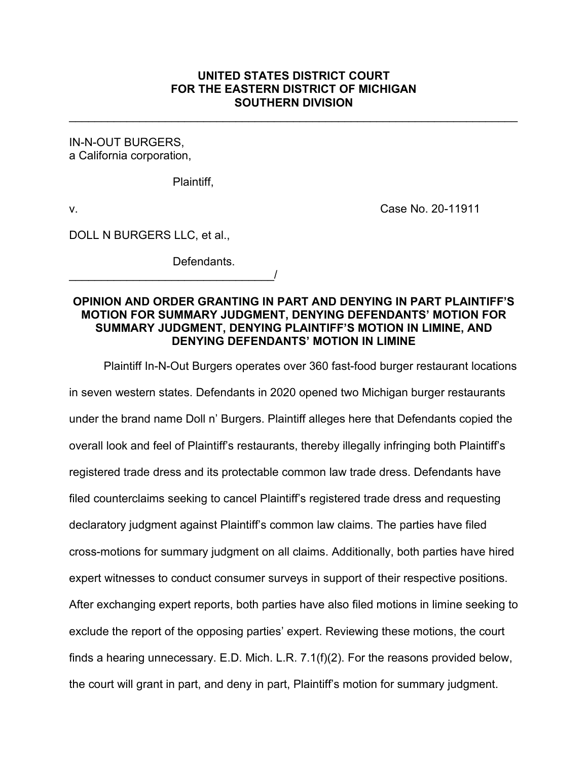# **UNITED STATES DISTRICT COURT FOR THE EASTERN DISTRICT OF MICHIGAN SOUTHERN DIVISION**

\_\_\_\_\_\_\_\_\_\_\_\_\_\_\_\_\_\_\_\_\_\_\_\_\_\_\_\_\_\_\_\_\_\_\_\_\_\_\_\_\_\_\_\_\_\_\_\_\_\_\_\_\_\_\_\_\_\_\_\_\_\_\_\_\_\_\_\_\_\_

IN-N-OUT BURGERS, a California corporation,

Plaintiff,

v. Case No. 20-11911

DOLL N BURGERS LLC, et al.,

\_\_\_\_\_\_\_\_\_\_\_\_\_\_\_\_\_\_\_\_\_\_\_\_\_\_\_\_\_\_\_\_/

Defendants.

# **OPINION AND ORDER GRANTING IN PART AND DENYING IN PART PLAINTIFF'S MOTION FOR SUMMARY JUDGMENT, DENYING DEFENDANTS' MOTION FOR SUMMARY JUDGMENT, DENYING PLAINTIFF'S MOTION IN LIMINE, AND DENYING DEFENDANTS' MOTION IN LIMINE**

Plaintiff In-N-Out Burgers operates over 360 fast-food burger restaurant locations in seven western states. Defendants in 2020 opened two Michigan burger restaurants under the brand name Doll n' Burgers. Plaintiff alleges here that Defendants copied the overall look and feel of Plaintiff's restaurants, thereby illegally infringing both Plaintiff's registered trade dress and its protectable common law trade dress. Defendants have filed counterclaims seeking to cancel Plaintiff's registered trade dress and requesting declaratory judgment against Plaintiff's common law claims. The parties have filed cross-motions for summary judgment on all claims. Additionally, both parties have hired expert witnesses to conduct consumer surveys in support of their respective positions. After exchanging expert reports, both parties have also filed motions in limine seeking to exclude the report of the opposing parties' expert. Reviewing these motions, the court finds a hearing unnecessary. E.D. Mich. L.R. 7.1(f)(2). For the reasons provided below, the court will grant in part, and deny in part, Plaintiff's motion for summary judgment.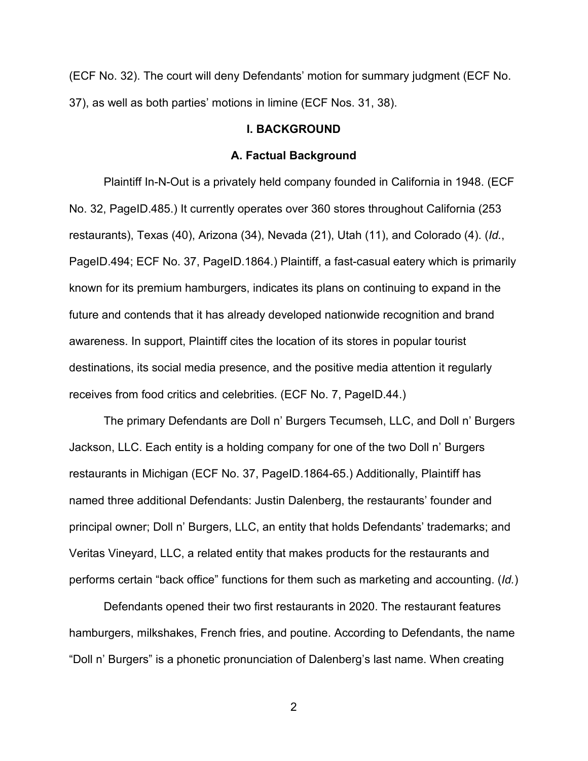(ECF No. 32). The court will deny Defendants' motion for summary judgment (ECF No. 37), as well as both parties' motions in limine (ECF Nos. 31, 38).

#### **I. BACKGROUND**

#### **A. Factual Background**

Plaintiff In-N-Out is a privately held company founded in California in 1948. (ECF No. 32, PageID.485.) It currently operates over 360 stores throughout California (253 restaurants), Texas (40), Arizona (34), Nevada (21), Utah (11), and Colorado (4). (*Id.*, PageID.494; ECF No. 37, PageID.1864.) Plaintiff, a fast-casual eatery which is primarily known for its premium hamburgers, indicates its plans on continuing to expand in the future and contends that it has already developed nationwide recognition and brand awareness. In support, Plaintiff cites the location of its stores in popular tourist destinations, its social media presence, and the positive media attention it regularly receives from food critics and celebrities. (ECF No. 7, PageID.44.)

The primary Defendants are Doll n' Burgers Tecumseh, LLC, and Doll n' Burgers Jackson, LLC. Each entity is a holding company for one of the two Doll n' Burgers restaurants in Michigan (ECF No. 37, PageID.1864-65.) Additionally, Plaintiff has named three additional Defendants: Justin Dalenberg, the restaurants' founder and principal owner; Doll n' Burgers, LLC, an entity that holds Defendants' trademarks; and Veritas Vineyard, LLC, a related entity that makes products for the restaurants and performs certain "back office" functions for them such as marketing and accounting. (*Id.*)

Defendants opened their two first restaurants in 2020. The restaurant features hamburgers, milkshakes, French fries, and poutine. According to Defendants, the name "Doll n' Burgers" is a phonetic pronunciation of Dalenberg's last name. When creating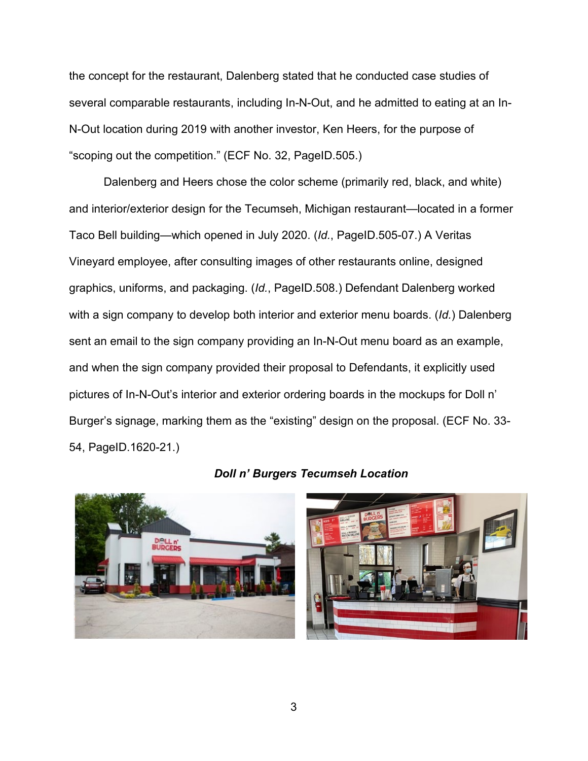the concept for the restaurant, Dalenberg stated that he conducted case studies of several comparable restaurants, including In-N-Out, and he admitted to eating at an In-N-Out location during 2019 with another investor, Ken Heers, for the purpose of "scoping out the competition." (ECF No. 32, PageID.505.)

Dalenberg and Heers chose the color scheme (primarily red, black, and white) and interior/exterior design for the Tecumseh, Michigan restaurant—located in a former Taco Bell building—which opened in July 2020. (*Id.*, PageID.505-07.) A Veritas Vineyard employee, after consulting images of other restaurants online, designed graphics, uniforms, and packaging. (*Id.*, PageID.508.) Defendant Dalenberg worked with a sign company to develop both interior and exterior menu boards. (*Id.*) Dalenberg sent an email to the sign company providing an In-N-Out menu board as an example, and when the sign company provided their proposal to Defendants, it explicitly used pictures of In-N-Out's interior and exterior ordering boards in the mockups for Doll n' Burger's signage, marking them as the "existing" design on the proposal. (ECF No. 33- 54, PageID.1620-21.)



# *Doll n' Burgers Tecumseh Location*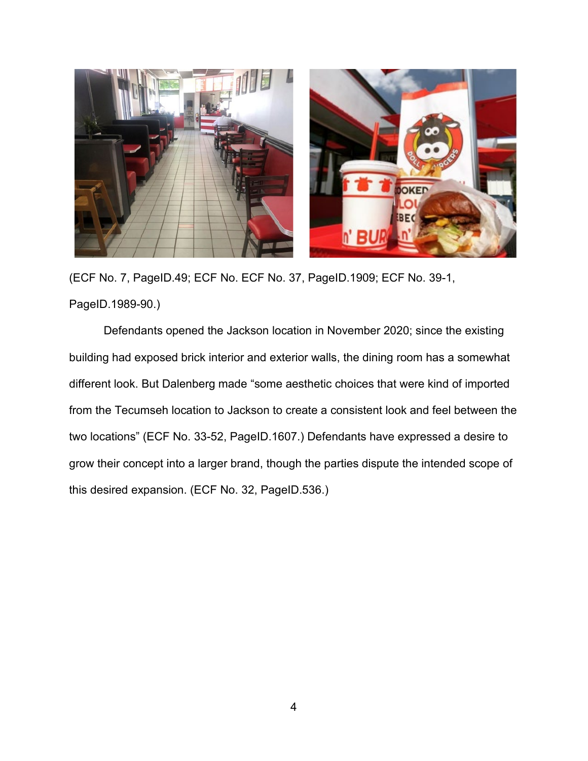

(ECF No. 7, PageID.49; ECF No. ECF No. 37, PageID.1909; ECF No. 39-1, PageID.1989-90.)

Defendants opened the Jackson location in November 2020; since the existing building had exposed brick interior and exterior walls, the dining room has a somewhat different look. But Dalenberg made "some aesthetic choices that were kind of imported from the Tecumseh location to Jackson to create a consistent look and feel between the two locations" (ECF No. 33-52, PageID.1607.) Defendants have expressed a desire to grow their concept into a larger brand, though the parties dispute the intended scope of this desired expansion. (ECF No. 32, PageID.536.)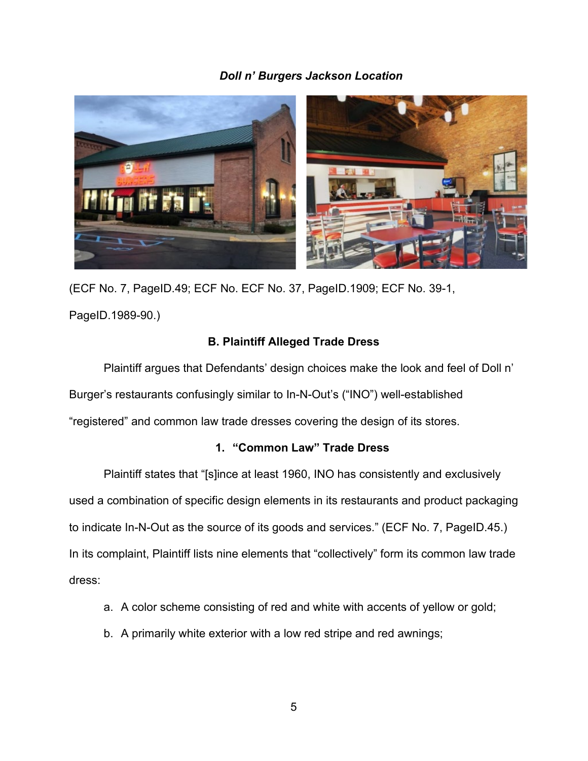# *Doll n' Burgers Jackson Location*



(ECF No. 7, PageID.49; ECF No. ECF No. 37, PageID.1909; ECF No. 39-1, PageID.1989-90.)

# **B. Plaintiff Alleged Trade Dress**

Plaintiff argues that Defendants' design choices make the look and feel of Doll n' Burger's restaurants confusingly similar to In-N-Out's ("INO") well-established "registered" and common law trade dresses covering the design of its stores.

# **1. "Common Law" Trade Dress**

Plaintiff states that "[s]ince at least 1960, INO has consistently and exclusively used a combination of specific design elements in its restaurants and product packaging to indicate In-N-Out as the source of its goods and services." (ECF No. 7, PageID.45.) In its complaint, Plaintiff lists nine elements that "collectively" form its common law trade dress:

- a. A color scheme consisting of red and white with accents of yellow or gold;
- b. A primarily white exterior with a low red stripe and red awnings;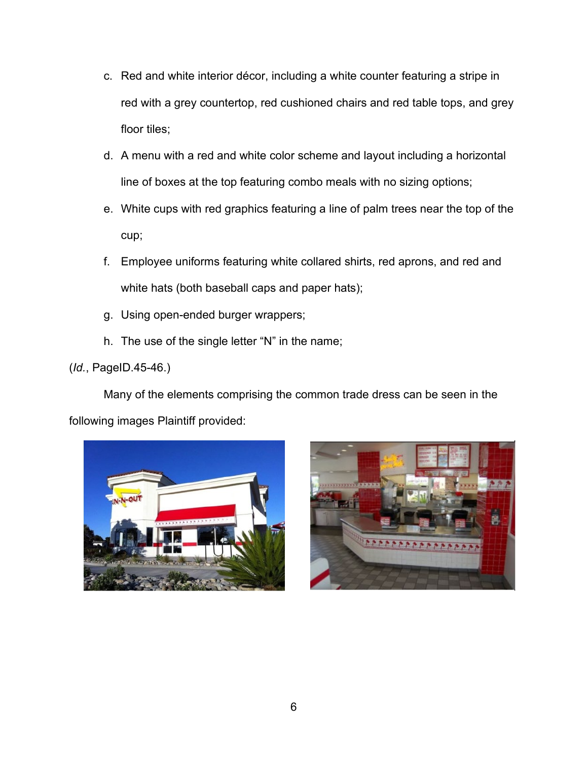- c. Red and white interior décor, including a white counter featuring a stripe in red with a grey countertop, red cushioned chairs and red table tops, and grey floor tiles;
- d. A menu with a red and white color scheme and layout including a horizontal line of boxes at the top featuring combo meals with no sizing options;
- e. White cups with red graphics featuring a line of palm trees near the top of the cup;
- f. Employee uniforms featuring white collared shirts, red aprons, and red and white hats (both baseball caps and paper hats);
- g. Using open-ended burger wrappers;
- h. The use of the single letter "N" in the name;

# (*Id.*, PageID.45-46.)

Many of the elements comprising the common trade dress can be seen in the following images Plaintiff provided:



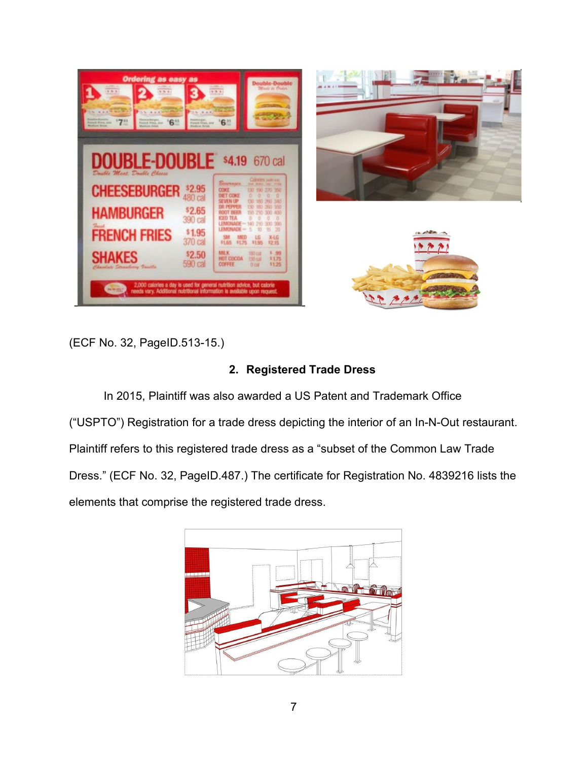





(ECF No. 32, PageID.513-15.)

# **2. Registered Trade Dress**

In 2015, Plaintiff was also awarded a US Patent and Trademark Office ("USPTO") Registration for a trade dress depicting the interior of an In-N-Out restaurant. Plaintiff refers to this registered trade dress as a "subset of the Common Law Trade Dress." (ECF No. 32, PageID.487.) The certificate for Registration No. 4839216 lists the elements that comprise the registered trade dress.

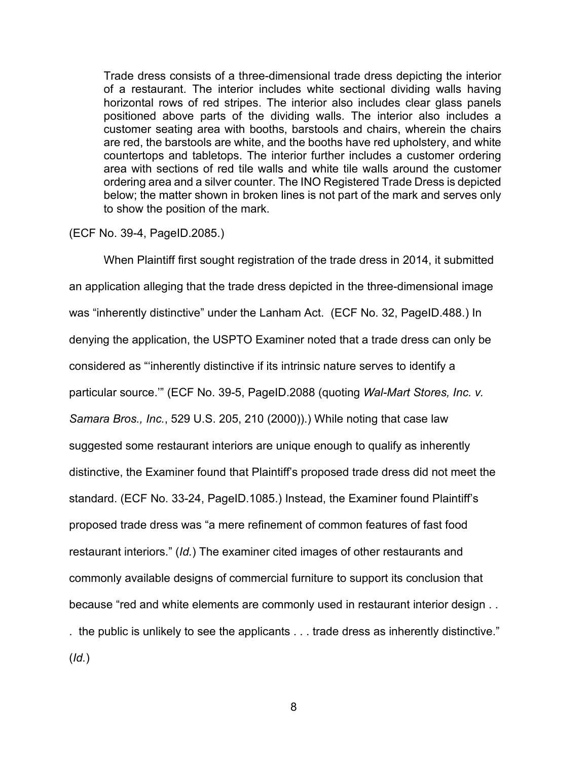Trade dress consists of a three-dimensional trade dress depicting the interior of a restaurant. The interior includes white sectional dividing walls having horizontal rows of red stripes. The interior also includes clear glass panels positioned above parts of the dividing walls. The interior also includes a customer seating area with booths, barstools and chairs, wherein the chairs are red, the barstools are white, and the booths have red upholstery, and white countertops and tabletops. The interior further includes a customer ordering area with sections of red tile walls and white tile walls around the customer ordering area and a silver counter. The INO Registered Trade Dress is depicted below; the matter shown in broken lines is not part of the mark and serves only to show the position of the mark.

(ECF No. 39-4, PageID.2085.)

When Plaintiff first sought registration of the trade dress in 2014, it submitted an application alleging that the trade dress depicted in the three-dimensional image was "inherently distinctive" under the Lanham Act. (ECF No. 32, PageID.488.) In denying the application, the USPTO Examiner noted that a trade dress can only be considered as "'inherently distinctive if its intrinsic nature serves to identify a particular source.'" (ECF No. 39-5, PageID.2088 (quoting *Wal-Mart Stores, Inc. v. Samara Bros., Inc.*, 529 U.S. 205, 210 (2000)).) While noting that case law suggested some restaurant interiors are unique enough to qualify as inherently distinctive, the Examiner found that Plaintiff's proposed trade dress did not meet the standard. (ECF No. 33-24, PageID.1085.) Instead, the Examiner found Plaintiff's proposed trade dress was "a mere refinement of common features of fast food restaurant interiors." (*Id.*) The examiner cited images of other restaurants and commonly available designs of commercial furniture to support its conclusion that because "red and white elements are commonly used in restaurant interior design . . . the public is unlikely to see the applicants . . . trade dress as inherently distinctive." (*Id.*)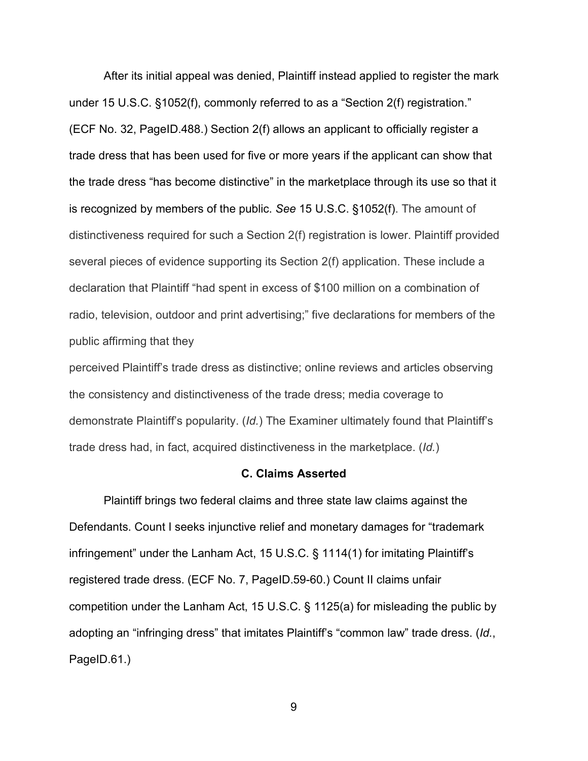After its initial appeal was denied, Plaintiff instead applied to register the mark under 15 U.S.C. §1052(f), commonly referred to as a "Section 2(f) registration." (ECF No. 32, PageID.488.) Section 2(f) allows an applicant to officially register a trade dress that has been used for five or more years if the applicant can show that the trade dress "has become distinctive" in the marketplace through its use so that it is recognized by members of the public. *See* 15 U.S.C. §1052(f). The amount of distinctiveness required for such a Section 2(f) registration is lower. Plaintiff provided several pieces of evidence supporting its Section 2(f) application. These include a declaration that Plaintiff "had spent in excess of \$100 million on a combination of radio, television, outdoor and print advertising;" five declarations for members of the public affirming that they

perceived Plaintiff's trade dress as distinctive; online reviews and articles observing the consistency and distinctiveness of the trade dress; media coverage to demonstrate Plaintiff's popularity. (*Id.*) The Examiner ultimately found that Plaintiff's trade dress had, in fact, acquired distinctiveness in the marketplace. (*Id.*)

#### **C. Claims Asserted**

Plaintiff brings two federal claims and three state law claims against the Defendants. Count I seeks injunctive relief and monetary damages for "trademark infringement" under the Lanham Act, 15 U.S.C. § 1114(1) for imitating Plaintiff's registered trade dress. (ECF No. 7, PageID.59-60.) Count II claims unfair competition under the Lanham Act, 15 U.S.C. § 1125(a) for misleading the public by adopting an "infringing dress" that imitates Plaintiff's "common law" trade dress. (*Id.*, PageID.61.)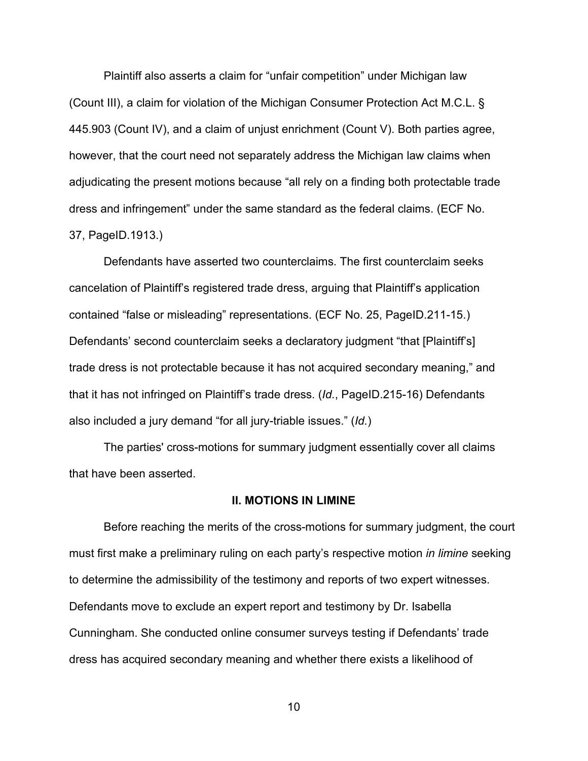Plaintiff also asserts a claim for "unfair competition" under Michigan law (Count III), a claim for violation of the Michigan Consumer Protection Act M.C.L. § 445.903 (Count IV), and a claim of unjust enrichment (Count V). Both parties agree, however, that the court need not separately address the Michigan law claims when adjudicating the present motions because "all rely on a finding both protectable trade dress and infringement" under the same standard as the federal claims. (ECF No. 37, PageID.1913.)

Defendants have asserted two counterclaims. The first counterclaim seeks cancelation of Plaintiff's registered trade dress, arguing that Plaintiff's application contained "false or misleading" representations. (ECF No. 25, PageID.211-15.) Defendants' second counterclaim seeks a declaratory judgment "that [Plaintiff's] trade dress is not protectable because it has not acquired secondary meaning," and that it has not infringed on Plaintiff's trade dress. (*Id.*, PageID.215-16) Defendants also included a jury demand "for all jury-triable issues." (*Id.*)

The parties' cross-motions for summary judgment essentially cover all claims that have been asserted.

#### **II. MOTIONS IN LIMINE**

Before reaching the merits of the cross-motions for summary judgment, the court must first make a preliminary ruling on each party's respective motion *in limine* seeking to determine the admissibility of the testimony and reports of two expert witnesses. Defendants move to exclude an expert report and testimony by Dr. Isabella Cunningham. She conducted online consumer surveys testing if Defendants' trade dress has acquired secondary meaning and whether there exists a likelihood of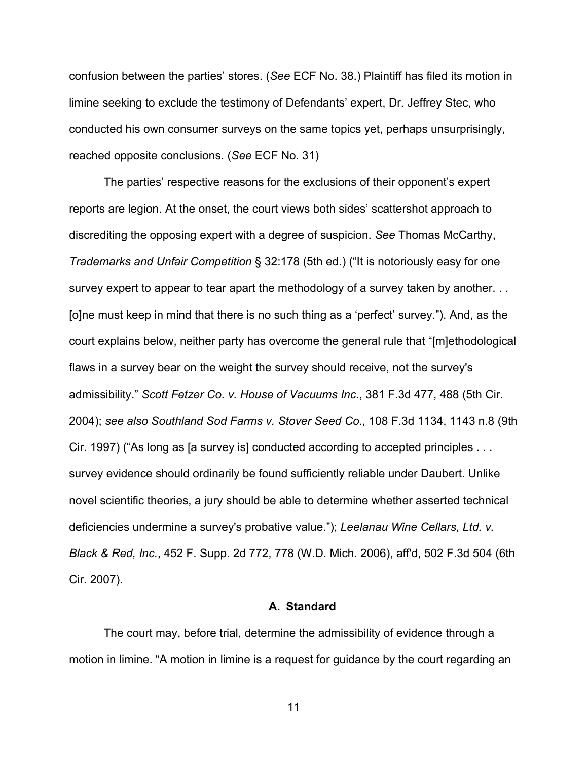confusion between the parties' stores. (*See* ECF No. 38.) Plaintiff has filed its motion in limine seeking to exclude the testimony of Defendants' expert, Dr. Jeffrey Stec, who conducted his own consumer surveys on the same topics yet, perhaps unsurprisingly, reached opposite conclusions. (*See* ECF No. 31)

The parties' respective reasons for the exclusions of their opponent's expert reports are legion. At the onset, the court views both sides' scattershot approach to discrediting the opposing expert with a degree of suspicion. *See* Thomas McCarthy, *Trademarks and Unfair Competition* § 32:178 (5th ed.) ("It is notoriously easy for one survey expert to appear to tear apart the methodology of a survey taken by another. . . [o]ne must keep in mind that there is no such thing as a 'perfect' survey."). And, as the court explains below, neither party has overcome the general rule that "[m]ethodological flaws in a survey bear on the weight the survey should receive, not the survey's admissibility." *Scott Fetzer Co. v. House of Vacuums Inc.*, 381 F.3d 477, 488 (5th Cir. 2004); *see also Southland Sod Farms v. Stover Seed Co.,* 108 F.3d 1134, 1143 n.8 (9th Cir. 1997) ("As long as [a survey is] conducted according to accepted principles . . . survey evidence should ordinarily be found sufficiently reliable under Daubert. Unlike novel scientific theories, a jury should be able to determine whether asserted technical deficiencies undermine a survey's probative value."); *Leelanau Wine Cellars, Ltd. v. Black & Red, Inc.*, 452 F. Supp. 2d 772, 778 (W.D. Mich. 2006), aff'd, 502 F.3d 504 (6th Cir. 2007).

#### **A. Standard**

The court may, before trial, determine the admissibility of evidence through a motion in limine. "A motion in limine is a request for guidance by the court regarding an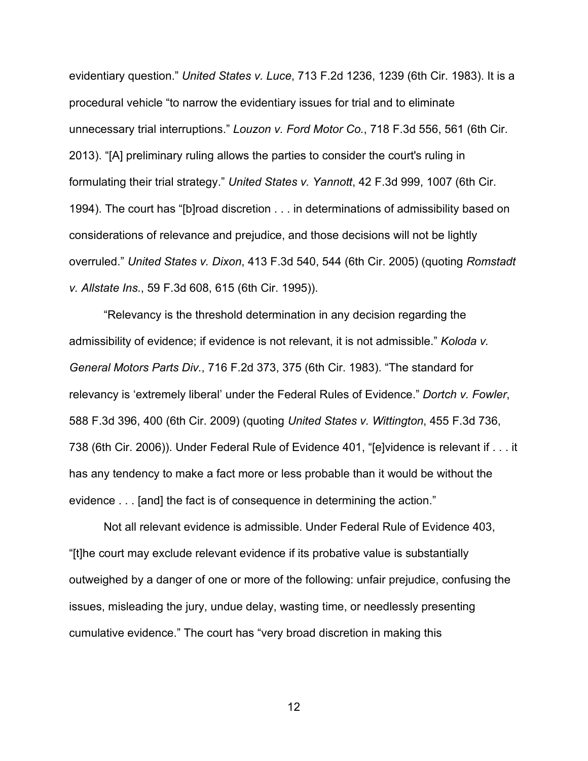evidentiary question." *United States v. Luce*, 713 F.2d 1236, 1239 (6th Cir. 1983). It is a procedural vehicle "to narrow the evidentiary issues for trial and to eliminate unnecessary trial interruptions." *Louzon v. Ford Motor Co.*, 718 F.3d 556, 561 (6th Cir. 2013). "[A] preliminary ruling allows the parties to consider the court's ruling in formulating their trial strategy." *United States v. Yannott*, 42 F.3d 999, 1007 (6th Cir. 1994). The court has "[b]road discretion . . . in determinations of admissibility based on considerations of relevance and prejudice, and those decisions will not be lightly overruled." *United States v. Dixon*, 413 F.3d 540, 544 (6th Cir. 2005) (quoting *Romstadt v. Allstate Ins.*, 59 F.3d 608, 615 (6th Cir. 1995)).

"Relevancy is the threshold determination in any decision regarding the admissibility of evidence; if evidence is not relevant, it is not admissible." *Koloda v. General Motors Parts Div.*, 716 F.2d 373, 375 (6th Cir. 1983). "The standard for relevancy is 'extremely liberal' under the Federal Rules of Evidence." *Dortch v. Fowler*, 588 F.3d 396, 400 (6th Cir. 2009) (quoting *United States v. Wittington*, 455 F.3d 736, 738 (6th Cir. 2006)). Under Federal Rule of Evidence 401, "[e]vidence is relevant if . . . it has any tendency to make a fact more or less probable than it would be without the evidence . . . [and] the fact is of consequence in determining the action."

Not all relevant evidence is admissible. Under Federal Rule of Evidence 403, "[t]he court may exclude relevant evidence if its probative value is substantially outweighed by a danger of one or more of the following: unfair prejudice, confusing the issues, misleading the jury, undue delay, wasting time, or needlessly presenting cumulative evidence." The court has "very broad discretion in making this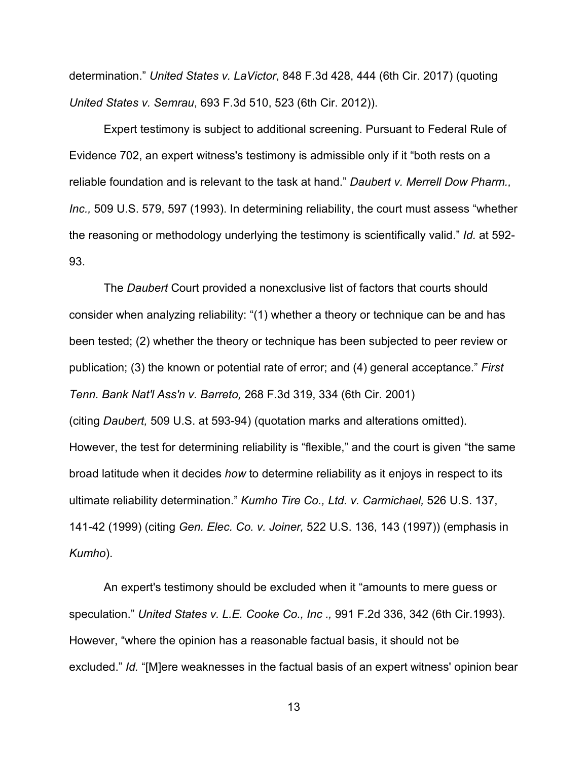determination." *United States v. LaVictor*, 848 F.3d 428, 444 (6th Cir. 2017) (quoting *United States v. Semrau*, 693 F.3d 510, 523 (6th Cir. 2012)).

Expert testimony is subject to additional screening. Pursuant to Federal Rule of Evidence 702, an expert witness's testimony is admissible only if it "both rests on a reliable foundation and is relevant to the task at hand." *Daubert v. Merrell Dow Pharm., Inc.,* 509 U.S. 579, 597 (1993). In determining reliability, the court must assess "whether the reasoning or methodology underlying the testimony is scientifically valid." *Id.* at 592- 93.

The *Daubert* Court provided a nonexclusive list of factors that courts should consider when analyzing reliability: "(1) whether a theory or technique can be and has been tested; (2) whether the theory or technique has been subjected to peer review or publication; (3) the known or potential rate of error; and (4) general acceptance." *First Tenn. Bank Nat'l Ass'n v. Barreto,* 268 F.3d 319, 334 (6th Cir. 2001) (citing *Daubert,* 509 U.S. at 593-94) (quotation marks and alterations omitted). However, the test for determining reliability is "flexible," and the court is given "the same broad latitude when it decides *how* to determine reliability as it enjoys in respect to its ultimate reliability determination." *Kumho Tire Co., Ltd. v. Carmichael,* 526 U.S. 137, 141-42 (1999) (citing *Gen. Elec. Co. v. Joiner,* 522 U.S. 136, 143 (1997)) (emphasis in *Kumho*).

An expert's testimony should be excluded when it "amounts to mere guess or speculation." *United States v. L.E. Cooke Co., Inc .,* 991 F.2d 336, 342 (6th Cir.1993). However, "where the opinion has a reasonable factual basis, it should not be excluded." *Id.* "[M]ere weaknesses in the factual basis of an expert witness' opinion bear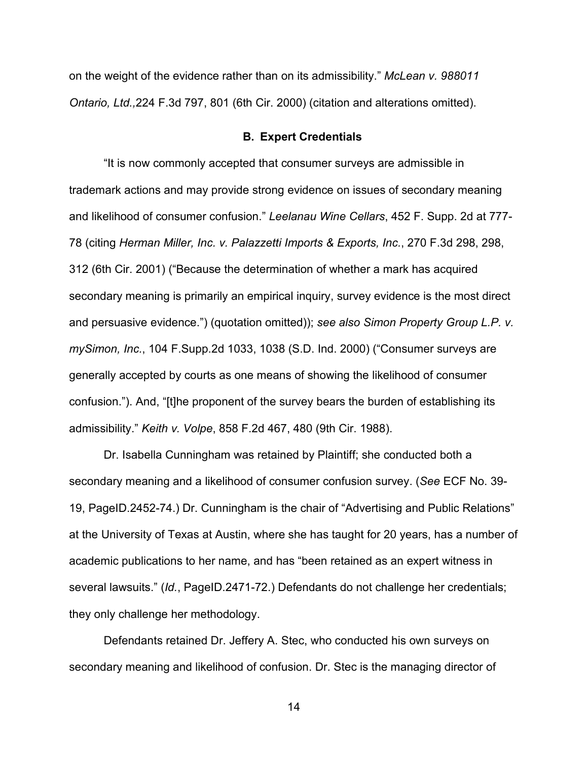on the weight of the evidence rather than on its admissibility." *McLean v. 988011 Ontario, Ltd.,*224 F.3d 797, 801 (6th Cir. 2000) (citation and alterations omitted).

#### **B. Expert Credentials**

"It is now commonly accepted that consumer surveys are admissible in trademark actions and may provide strong evidence on issues of secondary meaning and likelihood of consumer confusion." *Leelanau Wine Cellars*, 452 F. Supp. 2d at 777- 78 (citing *Herman Miller, Inc. v. Palazzetti Imports & Exports, Inc.*, 270 F.3d 298, 298, 312 (6th Cir. 2001) ("Because the determination of whether a mark has acquired secondary meaning is primarily an empirical inquiry, survey evidence is the most direct and persuasive evidence.") (quotation omitted)); *see also Simon Property Group L.P. v. mySimon, Inc.*, 104 F.Supp.2d 1033, 1038 (S.D. Ind. 2000) ("Consumer surveys are generally accepted by courts as one means of showing the likelihood of consumer confusion."). And, "[t]he proponent of the survey bears the burden of establishing its admissibility." *Keith v. Volpe*, 858 F.2d 467, 480 (9th Cir. 1988).

Dr. Isabella Cunningham was retained by Plaintiff; she conducted both a secondary meaning and a likelihood of consumer confusion survey. (*See* ECF No. 39- 19, PageID.2452-74.) Dr. Cunningham is the chair of "Advertising and Public Relations" at the University of Texas at Austin, where she has taught for 20 years, has a number of academic publications to her name, and has "been retained as an expert witness in several lawsuits." (*Id.*, PageID.2471-72.) Defendants do not challenge her credentials; they only challenge her methodology.

Defendants retained Dr. Jeffery A. Stec, who conducted his own surveys on secondary meaning and likelihood of confusion. Dr. Stec is the managing director of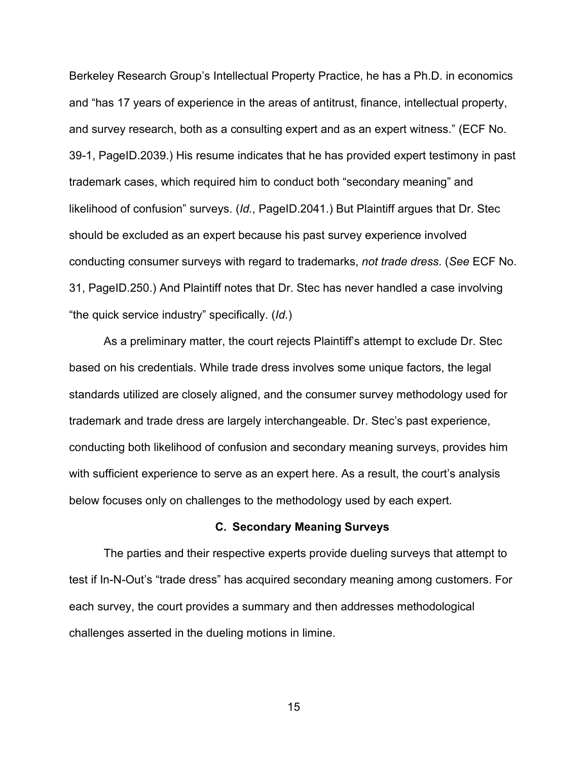Berkeley Research Group's Intellectual Property Practice, he has a Ph.D. in economics and "has 17 years of experience in the areas of antitrust, finance, intellectual property, and survey research, both as a consulting expert and as an expert witness." (ECF No. 39-1, PageID.2039.) His resume indicates that he has provided expert testimony in past trademark cases, which required him to conduct both "secondary meaning" and likelihood of confusion" surveys. (*Id.*, PageID.2041.) But Plaintiff argues that Dr. Stec should be excluded as an expert because his past survey experience involved conducting consumer surveys with regard to trademarks, *not trade dress*. (*See* ECF No. 31, PageID.250.) And Plaintiff notes that Dr. Stec has never handled a case involving "the quick service industry" specifically. (*Id.*)

As a preliminary matter, the court rejects Plaintiff's attempt to exclude Dr. Stec based on his credentials. While trade dress involves some unique factors, the legal standards utilized are closely aligned, and the consumer survey methodology used for trademark and trade dress are largely interchangeable. Dr. Stec's past experience, conducting both likelihood of confusion and secondary meaning surveys, provides him with sufficient experience to serve as an expert here. As a result, the court's analysis below focuses only on challenges to the methodology used by each expert.

#### **C. Secondary Meaning Surveys**

The parties and their respective experts provide dueling surveys that attempt to test if In-N-Out's "trade dress" has acquired secondary meaning among customers. For each survey, the court provides a summary and then addresses methodological challenges asserted in the dueling motions in limine.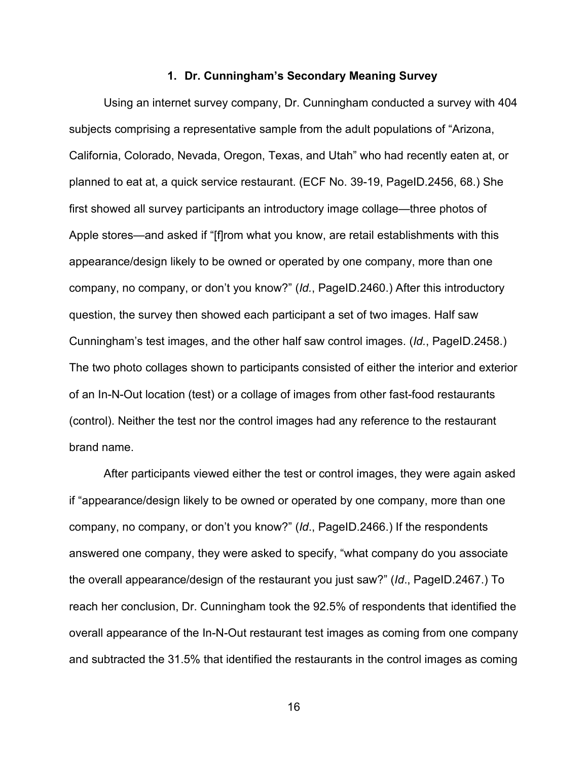#### **1. Dr. Cunningham's Secondary Meaning Survey**

Using an internet survey company, Dr. Cunningham conducted a survey with 404 subjects comprising a representative sample from the adult populations of "Arizona, California, Colorado, Nevada, Oregon, Texas, and Utah" who had recently eaten at, or planned to eat at, a quick service restaurant. (ECF No. 39-19, PageID.2456, 68.) She first showed all survey participants an introductory image collage—three photos of Apple stores—and asked if "[f]rom what you know, are retail establishments with this appearance/design likely to be owned or operated by one company, more than one company, no company, or don't you know?" (*Id.*, PageID.2460.) After this introductory question, the survey then showed each participant a set of two images. Half saw Cunningham's test images, and the other half saw control images. (*Id.*, PageID.2458.) The two photo collages shown to participants consisted of either the interior and exterior of an In-N-Out location (test) or a collage of images from other fast-food restaurants (control). Neither the test nor the control images had any reference to the restaurant brand name.

After participants viewed either the test or control images, they were again asked if "appearance/design likely to be owned or operated by one company, more than one company, no company, or don't you know?" (*Id*., PageID.2466.) If the respondents answered one company, they were asked to specify, "what company do you associate the overall appearance/design of the restaurant you just saw?" (*Id*., PageID.2467.) To reach her conclusion, Dr. Cunningham took the 92.5% of respondents that identified the overall appearance of the In-N-Out restaurant test images as coming from one company and subtracted the 31.5% that identified the restaurants in the control images as coming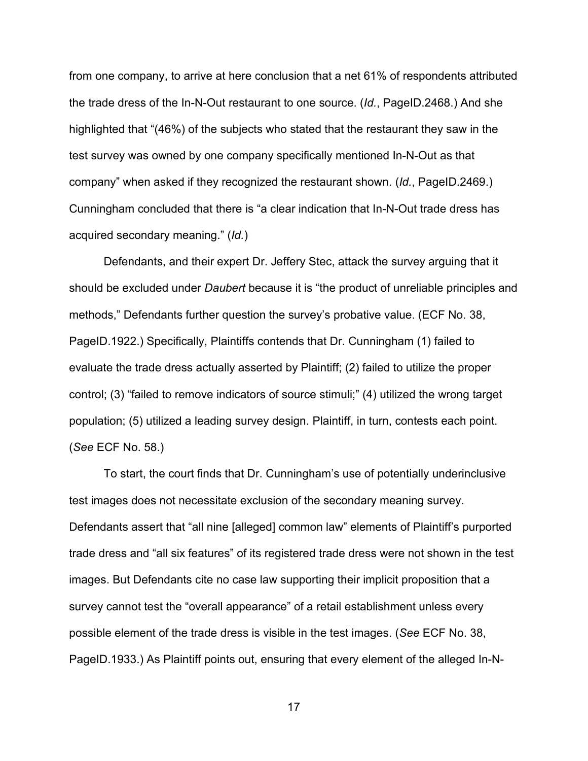from one company, to arrive at here conclusion that a net 61% of respondents attributed the trade dress of the In-N-Out restaurant to one source. (*Id.*, PageID.2468.) And she highlighted that "(46%) of the subjects who stated that the restaurant they saw in the test survey was owned by one company specifically mentioned In-N-Out as that company" when asked if they recognized the restaurant shown. (*Id.*, PageID.2469.) Cunningham concluded that there is "a clear indication that In-N-Out trade dress has acquired secondary meaning." (*Id.*)

Defendants, and their expert Dr. Jeffery Stec, attack the survey arguing that it should be excluded under *Daubert* because it is "the product of unreliable principles and methods," Defendants further question the survey's probative value. (ECF No. 38, PageID.1922.) Specifically, Plaintiffs contends that Dr. Cunningham (1) failed to evaluate the trade dress actually asserted by Plaintiff; (2) failed to utilize the proper control; (3) "failed to remove indicators of source stimuli;" (4) utilized the wrong target population; (5) utilized a leading survey design. Plaintiff, in turn, contests each point. (*See* ECF No. 58.)

To start, the court finds that Dr. Cunningham's use of potentially underinclusive test images does not necessitate exclusion of the secondary meaning survey. Defendants assert that "all nine [alleged] common law" elements of Plaintiff's purported trade dress and "all six features" of its registered trade dress were not shown in the test images. But Defendants cite no case law supporting their implicit proposition that a survey cannot test the "overall appearance" of a retail establishment unless every possible element of the trade dress is visible in the test images. (*See* ECF No. 38, PageID.1933.) As Plaintiff points out, ensuring that every element of the alleged In-N-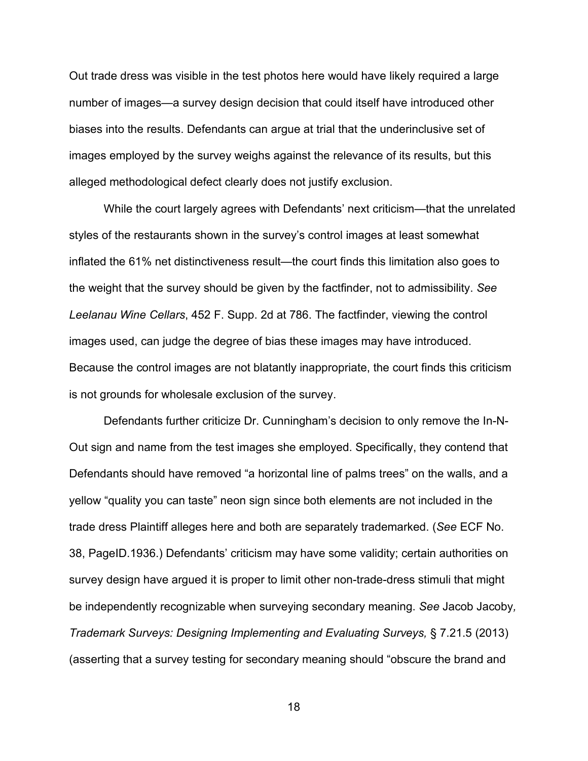Out trade dress was visible in the test photos here would have likely required a large number of images—a survey design decision that could itself have introduced other biases into the results. Defendants can argue at trial that the underinclusive set of images employed by the survey weighs against the relevance of its results, but this alleged methodological defect clearly does not justify exclusion.

While the court largely agrees with Defendants' next criticism—that the unrelated styles of the restaurants shown in the survey's control images at least somewhat inflated the 61% net distinctiveness result—the court finds this limitation also goes to the weight that the survey should be given by the factfinder, not to admissibility. *See Leelanau Wine Cellars*, 452 F. Supp. 2d at 786. The factfinder, viewing the control images used, can judge the degree of bias these images may have introduced. Because the control images are not blatantly inappropriate, the court finds this criticism is not grounds for wholesale exclusion of the survey.

Defendants further criticize Dr. Cunningham's decision to only remove the In-N-Out sign and name from the test images she employed. Specifically, they contend that Defendants should have removed "a horizontal line of palms trees" on the walls, and a yellow "quality you can taste" neon sign since both elements are not included in the trade dress Plaintiff alleges here and both are separately trademarked. (*See* ECF No. 38, PageID.1936.) Defendants' criticism may have some validity; certain authorities on survey design have argued it is proper to limit other non-trade-dress stimuli that might be independently recognizable when surveying secondary meaning. *See* Jacob Jacoby*, Trademark Surveys: Designing Implementing and Evaluating Surveys,* § 7.21.5 (2013) (asserting that a survey testing for secondary meaning should "obscure the brand and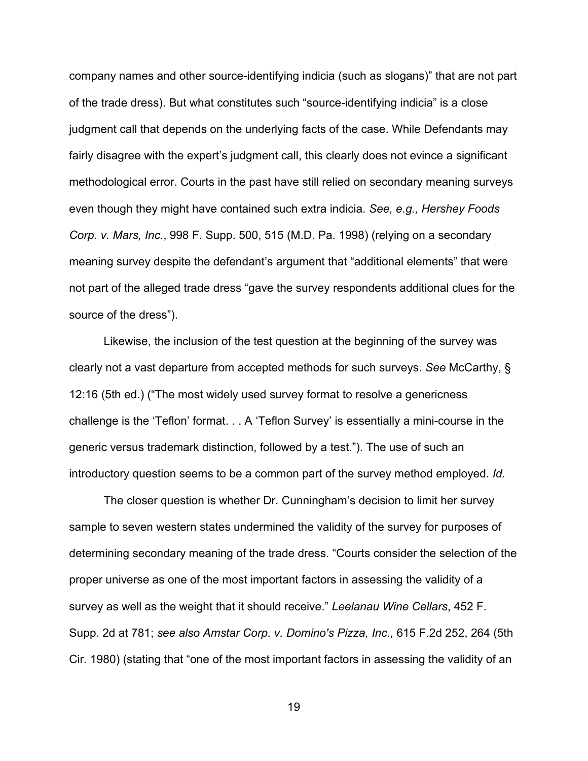company names and other source-identifying indicia (such as slogans)" that are not part of the trade dress). But what constitutes such "source-identifying indicia" is a close judgment call that depends on the underlying facts of the case. While Defendants may fairly disagree with the expert's judgment call, this clearly does not evince a significant methodological error. Courts in the past have still relied on secondary meaning surveys even though they might have contained such extra indicia. *See, e.g., Hershey Foods Corp. v. Mars, Inc.*, 998 F. Supp. 500, 515 (M.D. Pa. 1998) (relying on a secondary meaning survey despite the defendant's argument that "additional elements" that were not part of the alleged trade dress "gave the survey respondents additional clues for the source of the dress").

Likewise, the inclusion of the test question at the beginning of the survey was clearly not a vast departure from accepted methods for such surveys. *See* McCarthy, § 12:16 (5th ed.) ("The most widely used survey format to resolve a genericness challenge is the 'Teflon' format. . . A 'Teflon Survey' is essentially a mini-course in the generic versus trademark distinction, followed by a test."). The use of such an introductory question seems to be a common part of the survey method employed. *Id.*

The closer question is whether Dr. Cunningham's decision to limit her survey sample to seven western states undermined the validity of the survey for purposes of determining secondary meaning of the trade dress. "Courts consider the selection of the proper universe as one of the most important factors in assessing the validity of a survey as well as the weight that it should receive." *Leelanau Wine Cellars*, 452 F. Supp. 2d at 781; *see also Amstar Corp. v. Domino's Pizza, Inc.,* 615 F.2d 252, 264 (5th Cir. 1980) (stating that "one of the most important factors in assessing the validity of an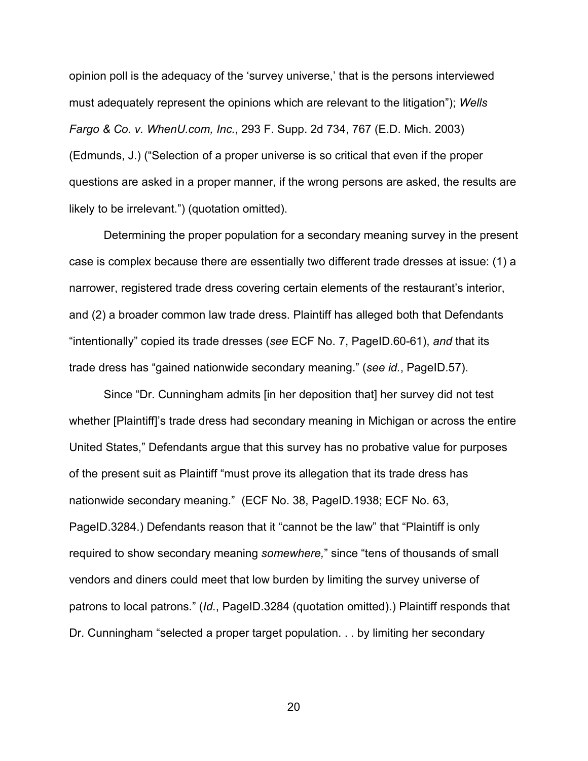opinion poll is the adequacy of the 'survey universe,' that is the persons interviewed must adequately represent the opinions which are relevant to the litigation"); *Wells Fargo & Co. v. WhenU.com, Inc.*, 293 F. Supp. 2d 734, 767 (E.D. Mich. 2003) (Edmunds, J.) ("Selection of a proper universe is so critical that even if the proper questions are asked in a proper manner, if the wrong persons are asked, the results are likely to be irrelevant.") (quotation omitted).

Determining the proper population for a secondary meaning survey in the present case is complex because there are essentially two different trade dresses at issue: (1) a narrower, registered trade dress covering certain elements of the restaurant's interior, and (2) a broader common law trade dress. Plaintiff has alleged both that Defendants "intentionally" copied its trade dresses (*see* ECF No. 7, PageID.60-61), *and* that its trade dress has "gained nationwide secondary meaning." (*see id.*, PageID.57).

Since "Dr. Cunningham admits [in her deposition that] her survey did not test whether [Plaintiff]'s trade dress had secondary meaning in Michigan or across the entire United States," Defendants argue that this survey has no probative value for purposes of the present suit as Plaintiff "must prove its allegation that its trade dress has nationwide secondary meaning." (ECF No. 38, PageID.1938; ECF No. 63, PageID.3284.) Defendants reason that it "cannot be the law" that "Plaintiff is only required to show secondary meaning *somewhere,*" since "tens of thousands of small vendors and diners could meet that low burden by limiting the survey universe of patrons to local patrons." (*Id.*, PageID.3284 (quotation omitted).) Plaintiff responds that Dr. Cunningham "selected a proper target population. . . by limiting her secondary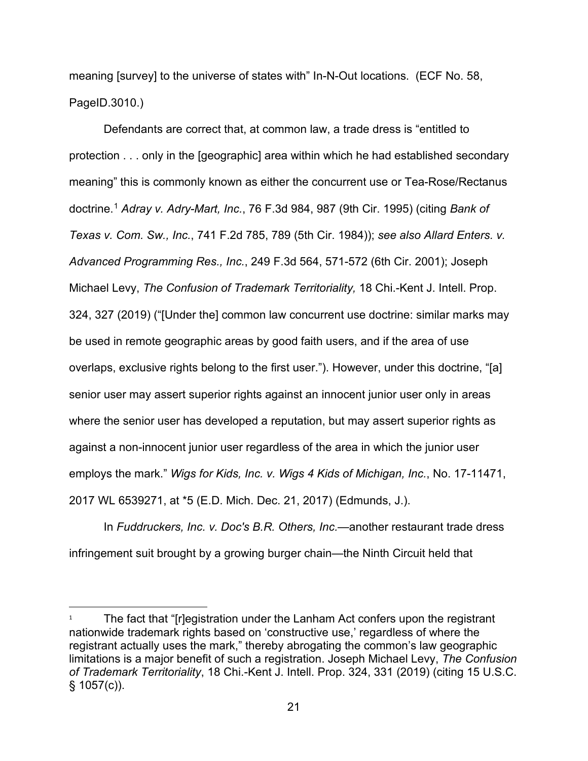meaning [survey] to the universe of states with" In-N-Out locations. (ECF No. 58, PageID.3010.)

Defendants are correct that, at common law, a trade dress is "entitled to protection . . . only in the [geographic] area within which he had established secondary meaning" this is commonly known as either the concurrent use or Tea-Rose/Rectanus doctrine. [1](#page-20-0) *Adray v. Adry-Mart, Inc.*, 76 F.3d 984, 987 (9th Cir. 1995) (citing *Bank of Texas v. Com. Sw., Inc.*, 741 F.2d 785, 789 (5th Cir. 1984)); *see also Allard Enters. v. Advanced Programming Res., Inc.*, 249 F.3d 564, 571-572 (6th Cir. 2001); Joseph Michael Levy, *The Confusion of Trademark Territoriality,* 18 Chi.-Kent J. Intell. Prop. 324, 327 (2019) ("[Under the] common law concurrent use doctrine: similar marks may be used in remote geographic areas by good faith users, and if the area of use overlaps, exclusive rights belong to the first user."). However, under this doctrine, "[a] senior user may assert superior rights against an innocent junior user only in areas where the senior user has developed a reputation, but may assert superior rights as against a non-innocent junior user regardless of the area in which the junior user employs the mark." *Wigs for Kids, Inc. v. Wigs 4 Kids of Michigan, Inc.*, No. 17-11471, 2017 WL 6539271, at \*5 (E.D. Mich. Dec. 21, 2017) (Edmunds, J.).

In *Fuddruckers, Inc. v. Doc's B.R. Others, Inc.*—another restaurant trade dress infringement suit brought by a growing burger chain—the Ninth Circuit held that

<span id="page-20-0"></span><sup>&</sup>lt;sup>1</sup> The fact that "[r]egistration under the Lanham Act confers upon the registrant nationwide trademark rights based on 'constructive use,' regardless of where the registrant actually uses the mark," thereby abrogating the common's law geographic limitations is a major benefit of such a registration. Joseph Michael Levy, *The Confusion of Trademark Territoriality*, 18 Chi.-Kent J. Intell. Prop. 324, 331 (2019) (citing 15 U.S.C.  $§ 1057(c)$ .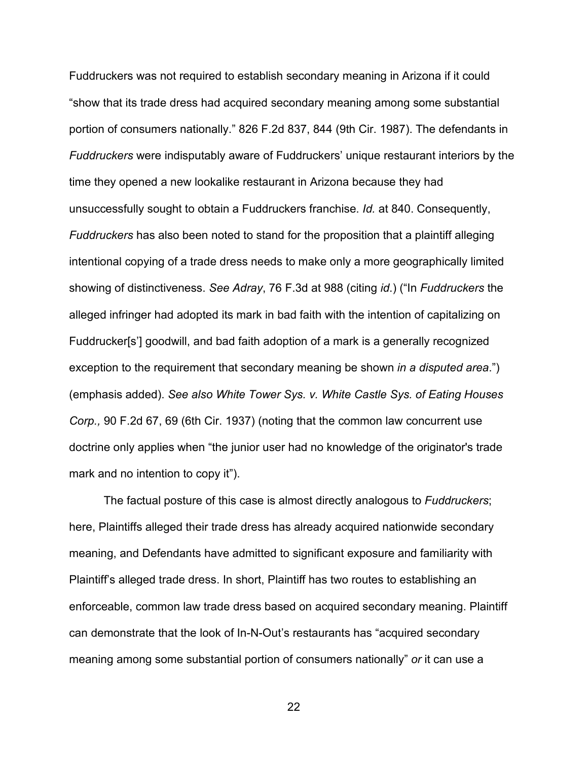Fuddruckers was not required to establish secondary meaning in Arizona if it could "show that its trade dress had acquired secondary meaning among some substantial portion of consumers nationally." 826 F.2d 837, 844 (9th Cir. 1987). The defendants in *Fuddruckers* were indisputably aware of Fuddruckers' unique restaurant interiors by the time they opened a new lookalike restaurant in Arizona because they had unsuccessfully sought to obtain a Fuddruckers franchise. *Id.* at 840. Consequently, *Fuddruckers* has also been noted to stand for the proposition that a plaintiff alleging intentional copying of a trade dress needs to make only a more geographically limited showing of distinctiveness. *See Adray*, 76 F.3d at 988 (citing *id*.) ("In *Fuddruckers* the alleged infringer had adopted its mark in bad faith with the intention of capitalizing on Fuddrucker[s'] goodwill, and bad faith adoption of a mark is a generally recognized exception to the requirement that secondary meaning be shown *in a disputed area*.") (emphasis added). *See also White Tower Sys. v. White Castle Sys. of Eating Houses Corp.,* 90 F.2d 67, 69 (6th Cir. 1937) (noting that the common law concurrent use doctrine only applies when "the junior user had no knowledge of the originator's trade mark and no intention to copy it").

The factual posture of this case is almost directly analogous to *Fuddruckers*; here, Plaintiffs alleged their trade dress has already acquired nationwide secondary meaning, and Defendants have admitted to significant exposure and familiarity with Plaintiff's alleged trade dress. In short, Plaintiff has two routes to establishing an enforceable, common law trade dress based on acquired secondary meaning. Plaintiff can demonstrate that the look of In-N-Out's restaurants has "acquired secondary meaning among some substantial portion of consumers nationally" *or* it can use a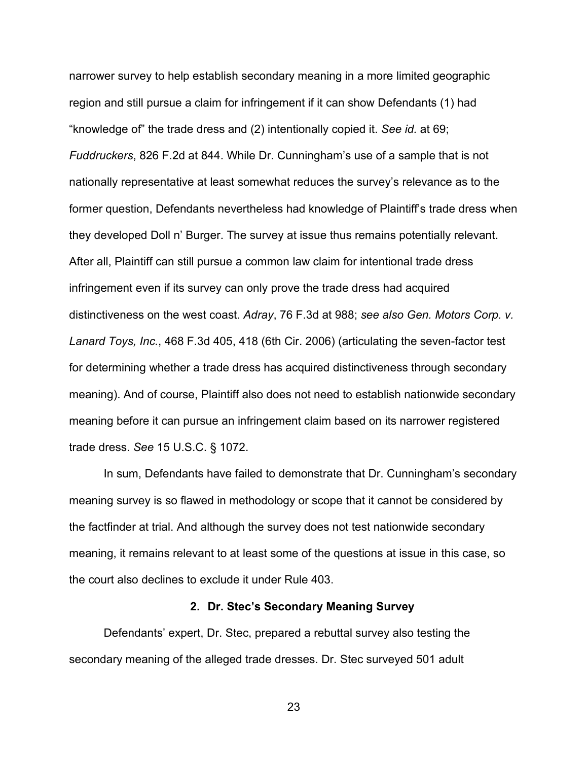narrower survey to help establish secondary meaning in a more limited geographic region and still pursue a claim for infringement if it can show Defendants (1) had "knowledge of" the trade dress and (2) intentionally copied it. *See id.* at 69; *Fuddruckers*, 826 F.2d at 844. While Dr. Cunningham's use of a sample that is not nationally representative at least somewhat reduces the survey's relevance as to the former question, Defendants nevertheless had knowledge of Plaintiff's trade dress when they developed Doll n' Burger. The survey at issue thus remains potentially relevant. After all, Plaintiff can still pursue a common law claim for intentional trade dress infringement even if its survey can only prove the trade dress had acquired distinctiveness on the west coast. *Adray*, 76 F.3d at 988; *see also Gen. Motors Corp. v. Lanard Toys, Inc.*, 468 F.3d 405, 418 (6th Cir. 2006) (articulating the seven-factor test for determining whether a trade dress has acquired distinctiveness through secondary meaning). And of course, Plaintiff also does not need to establish nationwide secondary meaning before it can pursue an infringement claim based on its narrower registered trade dress. *See* 15 U.S.C. § 1072.

In sum, Defendants have failed to demonstrate that Dr. Cunningham's secondary meaning survey is so flawed in methodology or scope that it cannot be considered by the factfinder at trial. And although the survey does not test nationwide secondary meaning, it remains relevant to at least some of the questions at issue in this case, so the court also declines to exclude it under Rule 403.

#### **2. Dr. Stec's Secondary Meaning Survey**

Defendants' expert, Dr. Stec, prepared a rebuttal survey also testing the secondary meaning of the alleged trade dresses. Dr. Stec surveyed 501 adult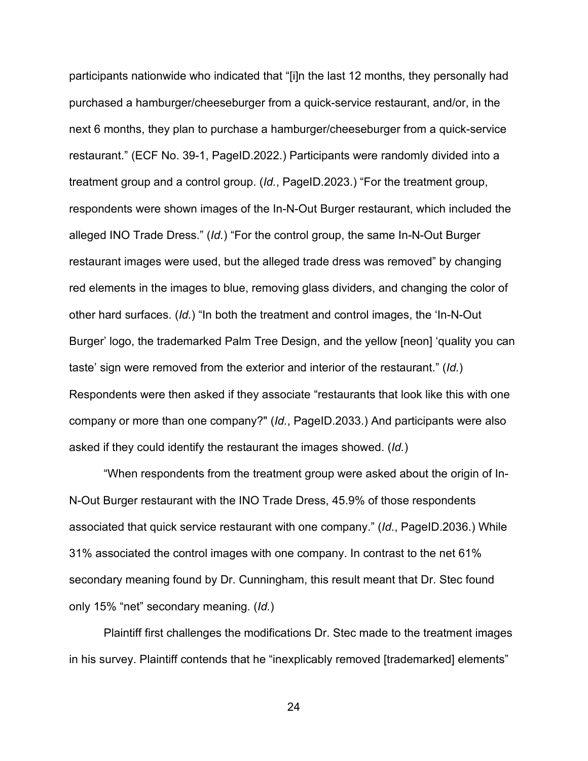participants nationwide who indicated that "[i]n the last 12 months, they personally had purchased a hamburger/cheeseburger from a quick-service restaurant, and/or, in the next 6 months, they plan to purchase a hamburger/cheeseburger from a quick-service restaurant." (ECF No. 39-1, PageID.2022.) Participants were randomly divided into a treatment group and a control group. (*Id.*, PageID.2023.) "For the treatment group, respondents were shown images of the In-N-Out Burger restaurant, which included the alleged INO Trade Dress." (*Id.*) "For the control group, the same In-N-Out Burger restaurant images were used, but the alleged trade dress was removed" by changing red elements in the images to blue, removing glass dividers, and changing the color of other hard surfaces. (*Id.*) "In both the treatment and control images, the 'In-N-Out Burger' logo, the trademarked Palm Tree Design, and the yellow [neon] 'quality you can taste' sign were removed from the exterior and interior of the restaurant." (*Id.*) Respondents were then asked if they associate "restaurants that look like this with one company or more than one company?" (*Id.*, PageID.2033.) And participants were also asked if they could identify the restaurant the images showed. (*Id.*)

"When respondents from the treatment group were asked about the origin of In-N-Out Burger restaurant with the INO Trade Dress, 45.9% of those respondents associated that quick service restaurant with one company." (*Id.*, PageID.2036.) While 31% associated the control images with one company. In contrast to the net 61% secondary meaning found by Dr. Cunningham, this result meant that Dr. Stec found only 15% "net" secondary meaning. (*Id.*)

Plaintiff first challenges the modifications Dr. Stec made to the treatment images in his survey. Plaintiff contends that he "inexplicably removed [trademarked] elements"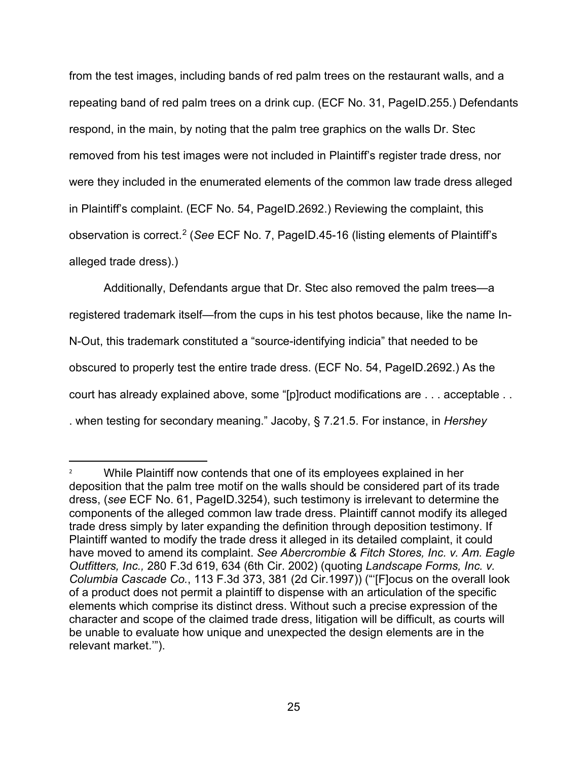from the test images, including bands of red palm trees on the restaurant walls, and a repeating band of red palm trees on a drink cup. (ECF No. 31, PageID.255.) Defendants respond, in the main, by noting that the palm tree graphics on the walls Dr. Stec removed from his test images were not included in Plaintiff's register trade dress, nor were they included in the enumerated elements of the common law trade dress alleged in Plaintiff's complaint. (ECF No. 54, PageID.2692.) Reviewing the complaint, this observation is correct.[2](#page-24-0) (*See* ECF No. 7, PageID.45-16 (listing elements of Plaintiff's alleged trade dress).)

Additionally, Defendants argue that Dr. Stec also removed the palm trees—a registered trademark itself—from the cups in his test photos because, like the name In-N-Out, this trademark constituted a "source-identifying indicia" that needed to be obscured to properly test the entire trade dress. (ECF No. 54, PageID.2692.) As the court has already explained above, some "[p]roduct modifications are . . . acceptable . . . when testing for secondary meaning." Jacoby, § 7.21.5. For instance, in *Hershey* 

<span id="page-24-0"></span><sup>&</sup>lt;sup>2</sup> While Plaintiff now contends that one of its employees explained in her deposition that the palm tree motif on the walls should be considered part of its trade dress, (*see* ECF No. 61, PageID.3254), such testimony is irrelevant to determine the components of the alleged common law trade dress. Plaintiff cannot modify its alleged trade dress simply by later expanding the definition through deposition testimony. If Plaintiff wanted to modify the trade dress it alleged in its detailed complaint, it could have moved to amend its complaint. *See Abercrombie & Fitch Stores, Inc. v. Am. Eagle Outfitters, Inc.,* 280 F.3d 619, 634 (6th Cir. 2002) (quoting *Landscape Forms, Inc. v. Columbia Cascade Co.*, 113 F.3d 373, 381 (2d Cir.1997)) ("'[F]ocus on the overall look of a product does not permit a plaintiff to dispense with an articulation of the specific elements which comprise its distinct dress. Without such a precise expression of the character and scope of the claimed trade dress, litigation will be difficult, as courts will be unable to evaluate how unique and unexpected the design elements are in the relevant market.'").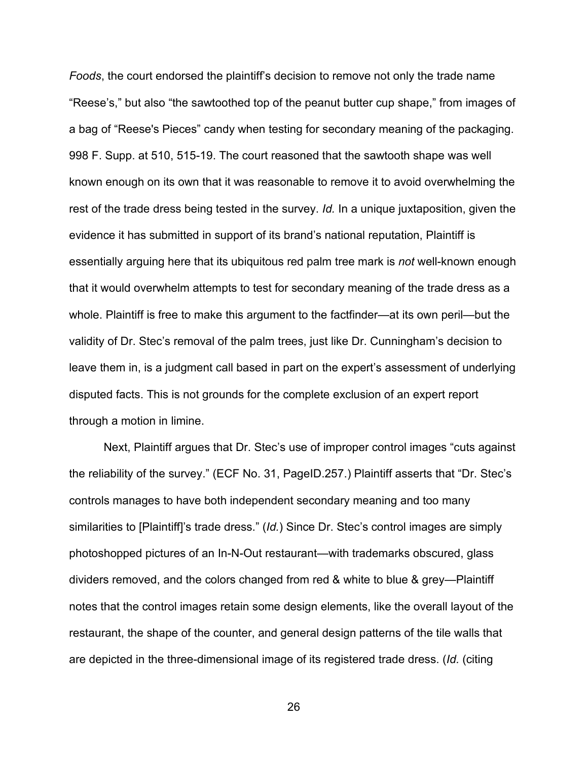*Foods*, the court endorsed the plaintiff's decision to remove not only the trade name "Reese's," but also "the sawtoothed top of the peanut butter cup shape," from images of a bag of "Reese's Pieces" candy when testing for secondary meaning of the packaging. 998 F. Supp. at 510, 515-19. The court reasoned that the sawtooth shape was well known enough on its own that it was reasonable to remove it to avoid overwhelming the rest of the trade dress being tested in the survey. *Id.* In a unique juxtaposition, given the evidence it has submitted in support of its brand's national reputation, Plaintiff is essentially arguing here that its ubiquitous red palm tree mark is *not* well-known enough that it would overwhelm attempts to test for secondary meaning of the trade dress as a whole. Plaintiff is free to make this argument to the factfinder—at its own peril—but the validity of Dr. Stec's removal of the palm trees, just like Dr. Cunningham's decision to leave them in, is a judgment call based in part on the expert's assessment of underlying disputed facts. This is not grounds for the complete exclusion of an expert report through a motion in limine.

Next, Plaintiff argues that Dr. Stec's use of improper control images "cuts against the reliability of the survey." (ECF No. 31, PageID.257.) Plaintiff asserts that "Dr. Stec's controls manages to have both independent secondary meaning and too many similarities to [Plaintiff]'s trade dress." (*Id.*) Since Dr. Stec's control images are simply photoshopped pictures of an In-N-Out restaurant—with trademarks obscured, glass dividers removed, and the colors changed from red & white to blue & grey—Plaintiff notes that the control images retain some design elements, like the overall layout of the restaurant, the shape of the counter, and general design patterns of the tile walls that are depicted in the three-dimensional image of its registered trade dress. (*Id.* (citing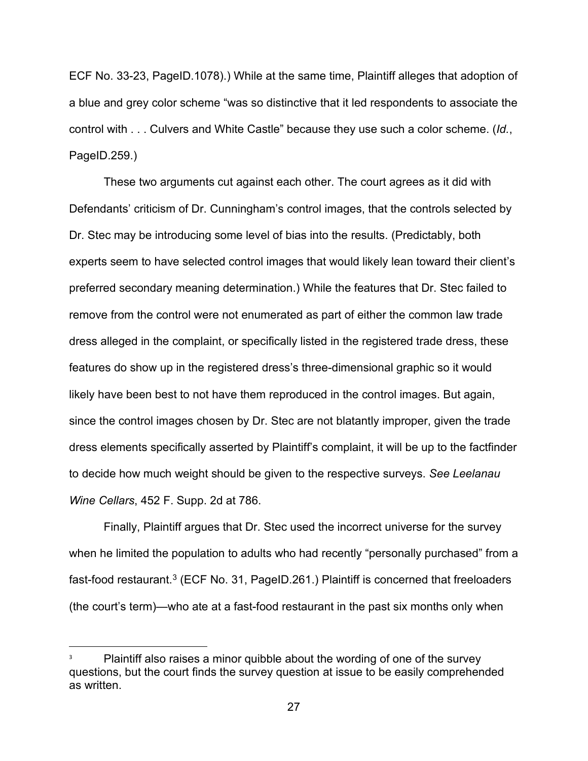ECF No. 33-23, PageID.1078).) While at the same time, Plaintiff alleges that adoption of a blue and grey color scheme "was so distinctive that it led respondents to associate the control with . . . Culvers and White Castle" because they use such a color scheme. (*Id.*, PageID.259.)

These two arguments cut against each other. The court agrees as it did with Defendants' criticism of Dr. Cunningham's control images, that the controls selected by Dr. Stec may be introducing some level of bias into the results. (Predictably, both experts seem to have selected control images that would likely lean toward their client's preferred secondary meaning determination.) While the features that Dr. Stec failed to remove from the control were not enumerated as part of either the common law trade dress alleged in the complaint, or specifically listed in the registered trade dress, these features do show up in the registered dress's three-dimensional graphic so it would likely have been best to not have them reproduced in the control images. But again, since the control images chosen by Dr. Stec are not blatantly improper, given the trade dress elements specifically asserted by Plaintiff's complaint, it will be up to the factfinder to decide how much weight should be given to the respective surveys. *See Leelanau Wine Cellars*, 452 F. Supp. 2d at 786.

Finally, Plaintiff argues that Dr. Stec used the incorrect universe for the survey when he limited the population to adults who had recently "personally purchased" from a fast-food restaurant.<sup>[3](#page-26-0)</sup> (ECF No. 31, PageID.261.) Plaintiff is concerned that freeloaders (the court's term)—who ate at a fast-food restaurant in the past six months only when

<span id="page-26-0"></span>Plaintiff also raises a minor quibble about the wording of one of the survey questions, but the court finds the survey question at issue to be easily comprehended as written.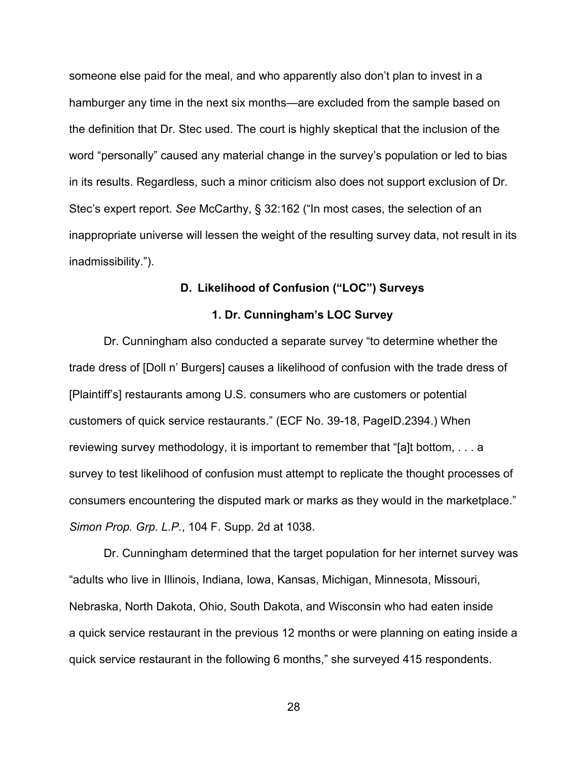someone else paid for the meal, and who apparently also don't plan to invest in a hamburger any time in the next six months—are excluded from the sample based on the definition that Dr. Stec used. The court is highly skeptical that the inclusion of the word "personally" caused any material change in the survey's population or led to bias in its results. Regardless, such a minor criticism also does not support exclusion of Dr. Stec's expert report. *See* McCarthy, § 32:162 ("In most cases, the selection of an inappropriate universe will lessen the weight of the resulting survey data, not result in its inadmissibility.").

# **D. Likelihood of Confusion ("LOC") Surveys**

## **1. Dr. Cunningham's LOC Survey**

Dr. Cunningham also conducted a separate survey "to determine whether the trade dress of [Doll n' Burgers] causes a likelihood of confusion with the trade dress of [Plaintiff's] restaurants among U.S. consumers who are customers or potential customers of quick service restaurants." (ECF No. 39-18, PageID.2394.) When reviewing survey methodology, it is important to remember that "[a]t bottom, . . . a survey to test likelihood of confusion must attempt to replicate the thought processes of consumers encountering the disputed mark or marks as they would in the marketplace." *Simon Prop. Grp. L.P.*, 104 F. Supp. 2d at 1038.

Dr. Cunningham determined that the target population for her internet survey was "adults who live in Illinois, Indiana, Iowa, Kansas, Michigan, Minnesota, Missouri, Nebraska, North Dakota, Ohio, South Dakota, and Wisconsin who had eaten inside a quick service restaurant in the previous 12 months or were planning on eating inside a quick service restaurant in the following 6 months," she surveyed 415 respondents.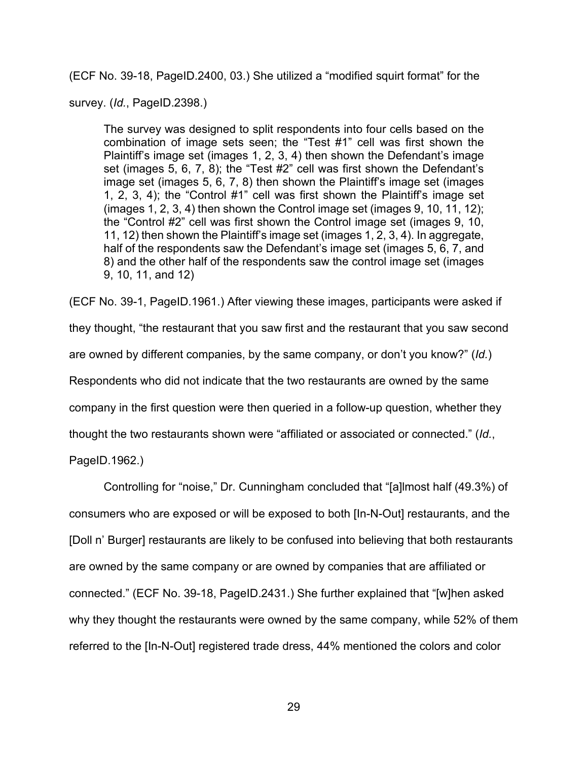(ECF No. 39-18, PageID.2400, 03.) She utilized a "modified squirt format" for the

survey. (*Id.*, PageID.2398.)

The survey was designed to split respondents into four cells based on the combination of image sets seen; the "Test #1" cell was first shown the Plaintiff's image set (images 1, 2, 3, 4) then shown the Defendant's image set (images 5, 6, 7, 8); the "Test #2" cell was first shown the Defendant's image set (images 5, 6, 7, 8) then shown the Plaintiff's image set (images 1, 2, 3, 4); the "Control #1" cell was first shown the Plaintiff's image set (images 1, 2, 3, 4) then shown the Control image set (images 9, 10, 11, 12); the "Control #2" cell was first shown the Control image set (images 9, 10, 11, 12) then shown the Plaintiff's image set (images 1, 2, 3, 4). In aggregate, half of the respondents saw the Defendant's image set (images 5, 6, 7, and 8) and the other half of the respondents saw the control image set (images 9, 10, 11, and 12)

(ECF No. 39-1, PageID.1961.) After viewing these images, participants were asked if they thought, "the restaurant that you saw first and the restaurant that you saw second are owned by different companies, by the same company, or don't you know?" (*Id.*) Respondents who did not indicate that the two restaurants are owned by the same company in the first question were then queried in a follow-up question, whether they thought the two restaurants shown were "affiliated or associated or connected." (*Id.*,

PageID.1962.)

Controlling for "noise," Dr. Cunningham concluded that "[a]lmost half (49.3%) of consumers who are exposed or will be exposed to both [In-N-Out] restaurants, and the [Doll n' Burger] restaurants are likely to be confused into believing that both restaurants are owned by the same company or are owned by companies that are affiliated or connected." (ECF No. 39-18, PageID.2431.) She further explained that "[w]hen asked why they thought the restaurants were owned by the same company, while 52% of them referred to the [In-N-Out] registered trade dress, 44% mentioned the colors and color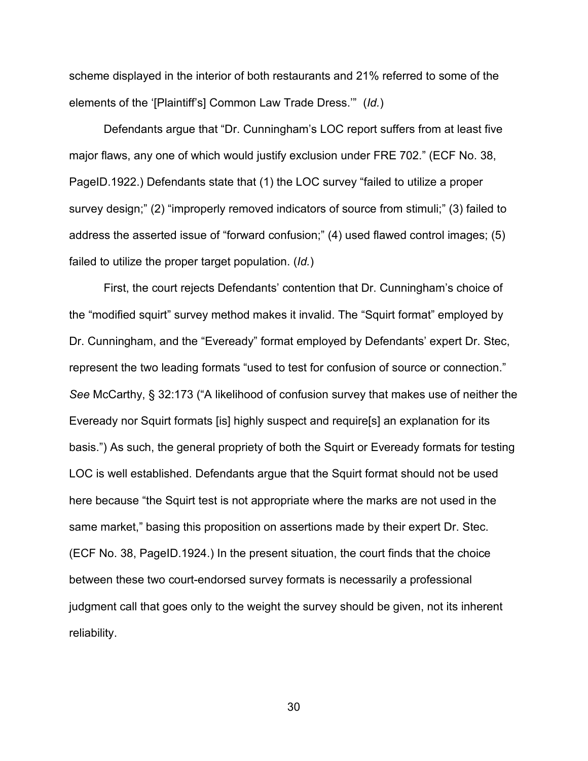scheme displayed in the interior of both restaurants and 21% referred to some of the elements of the '[Plaintiff's] Common Law Trade Dress.'" (*Id.*)

Defendants argue that "Dr. Cunningham's LOC report suffers from at least five major flaws, any one of which would justify exclusion under FRE 702." (ECF No. 38, PageID.1922.) Defendants state that (1) the LOC survey "failed to utilize a proper survey design;" (2) "improperly removed indicators of source from stimuli;" (3) failed to address the asserted issue of "forward confusion;" (4) used flawed control images; (5) failed to utilize the proper target population. (*Id.*)

First, the court rejects Defendants' contention that Dr. Cunningham's choice of the "modified squirt" survey method makes it invalid. The "Squirt format" employed by Dr. Cunningham, and the "Eveready" format employed by Defendants' expert Dr. Stec, represent the two leading formats "used to test for confusion of source or connection." *See* McCarthy, § 32:173 ("A likelihood of confusion survey that makes use of neither the Eveready nor Squirt formats [is] highly suspect and require[s] an explanation for its basis.") As such, the general propriety of both the Squirt or Eveready formats for testing LOC is well established. Defendants argue that the Squirt format should not be used here because "the Squirt test is not appropriate where the marks are not used in the same market," basing this proposition on assertions made by their expert Dr. Stec. (ECF No. 38, PageID.1924.) In the present situation, the court finds that the choice between these two court-endorsed survey formats is necessarily a professional judgment call that goes only to the weight the survey should be given, not its inherent reliability.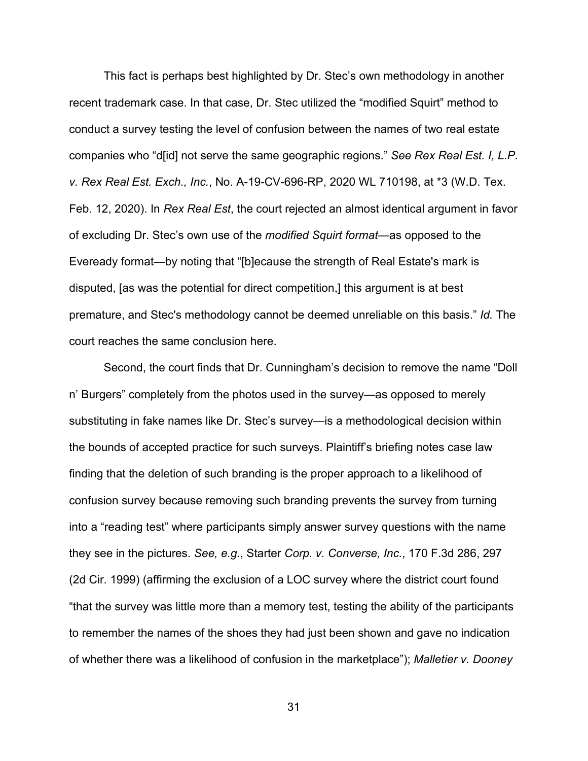This fact is perhaps best highlighted by Dr. Stec's own methodology in another recent trademark case. In that case, Dr. Stec utilized the "modified Squirt" method to conduct a survey testing the level of confusion between the names of two real estate companies who "d[id] not serve the same geographic regions." *See Rex Real Est. I, L.P. v. Rex Real Est. Exch., Inc.*, No. A-19-CV-696-RP, 2020 WL 710198, at \*3 (W.D. Tex. Feb. 12, 2020). In *Rex Real Est*, the court rejected an almost identical argument in favor of excluding Dr. Stec's own use of the *modified Squirt format*—as opposed to the Eveready format—by noting that "[b]ecause the strength of Real Estate's mark is disputed, [as was the potential for direct competition,] this argument is at best premature, and Stec's methodology cannot be deemed unreliable on this basis." *Id.* The court reaches the same conclusion here.

Second, the court finds that Dr. Cunningham's decision to remove the name "Doll n' Burgers" completely from the photos used in the survey—as opposed to merely substituting in fake names like Dr. Stec's survey—is a methodological decision within the bounds of accepted practice for such surveys. Plaintiff's briefing notes case law finding that the deletion of such branding is the proper approach to a likelihood of confusion survey because removing such branding prevents the survey from turning into a "reading test" where participants simply answer survey questions with the name they see in the pictures. *See, e.g.*, Starter *Corp. v. Converse, Inc.*, 170 F.3d 286, 297 (2d Cir. 1999) (affirming the exclusion of a LOC survey where the district court found "that the survey was little more than a memory test, testing the ability of the participants to remember the names of the shoes they had just been shown and gave no indication of whether there was a likelihood of confusion in the marketplace"); *Malletier v. Dooney*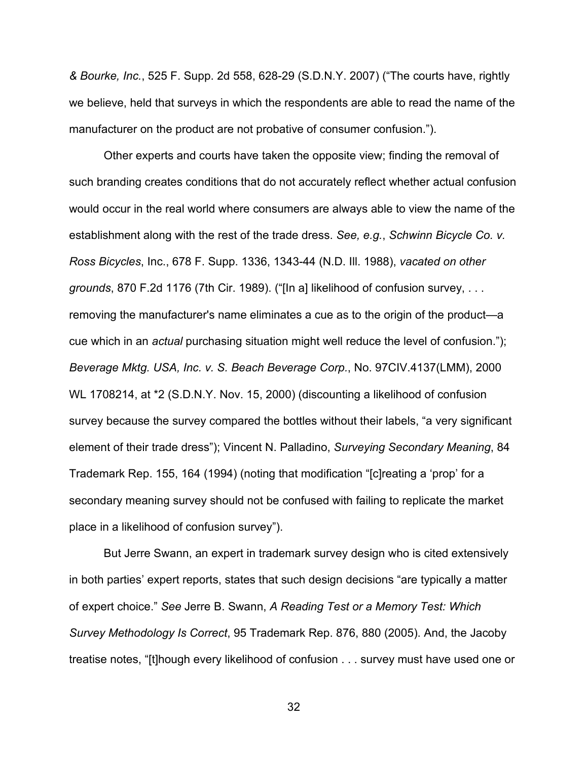*& Bourke, Inc.*, 525 F. Supp. 2d 558, 628-29 (S.D.N.Y. 2007) ("The courts have, rightly we believe, held that surveys in which the respondents are able to read the name of the manufacturer on the product are not probative of consumer confusion.").

 Other experts and courts have taken the opposite view; finding the removal of such branding creates conditions that do not accurately reflect whether actual confusion would occur in the real world where consumers are always able to view the name of the establishment along with the rest of the trade dress. *See, e.g.*, *Schwinn Bicycle Co. v. Ross Bicycles*, Inc., 678 F. Supp. 1336, 1343-44 (N.D. Ill. 1988), *vacated on other grounds*, 870 F.2d 1176 (7th Cir. 1989). ("[In a] likelihood of confusion survey, . . . removing the manufacturer's name eliminates a cue as to the origin of the product—a cue which in an *actual* purchasing situation might well reduce the level of confusion."); *Beverage Mktg. USA, Inc. v. S. Beach Beverage Corp.*, No. 97CIV.4137(LMM), 2000 WL 1708214, at \*2 (S.D.N.Y. Nov. 15, 2000) (discounting a likelihood of confusion survey because the survey compared the bottles without their labels, "a very significant element of their trade dress"); Vincent N. Palladino, *Surveying Secondary Meaning*, 84 Trademark Rep. 155, 164 (1994) (noting that modification "[c]reating a 'prop' for a secondary meaning survey should not be confused with failing to replicate the market place in a likelihood of confusion survey").

But Jerre Swann, an expert in trademark survey design who is cited extensively in both parties' expert reports, states that such design decisions "are typically a matter of expert choice." *See* Jerre B. Swann, *A Reading Test or a Memory Test: Which Survey Methodology Is Correct*, 95 Trademark Rep. 876, 880 (2005). And, the Jacoby treatise notes, "[t]hough every likelihood of confusion . . . survey must have used one or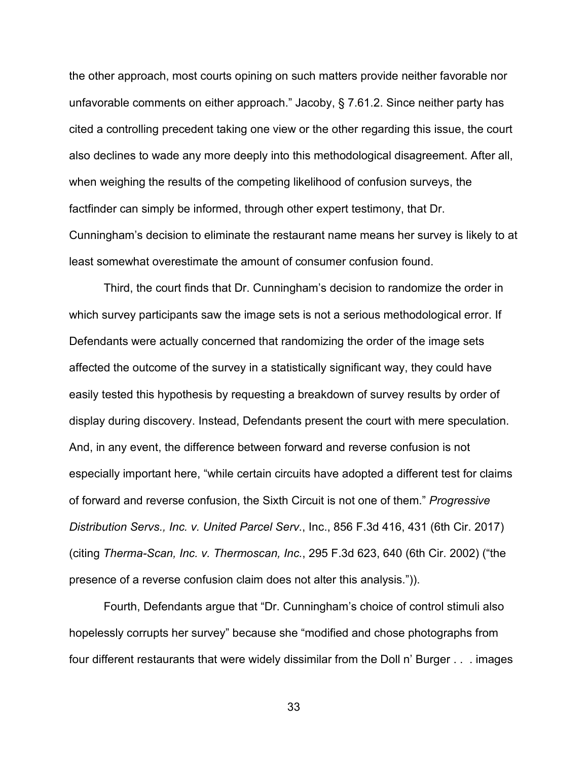the other approach, most courts opining on such matters provide neither favorable nor unfavorable comments on either approach." Jacoby, § 7.61.2. Since neither party has cited a controlling precedent taking one view or the other regarding this issue, the court also declines to wade any more deeply into this methodological disagreement. After all, when weighing the results of the competing likelihood of confusion surveys, the factfinder can simply be informed, through other expert testimony, that Dr. Cunningham's decision to eliminate the restaurant name means her survey is likely to at least somewhat overestimate the amount of consumer confusion found.

Third, the court finds that Dr. Cunningham's decision to randomize the order in which survey participants saw the image sets is not a serious methodological error. If Defendants were actually concerned that randomizing the order of the image sets affected the outcome of the survey in a statistically significant way, they could have easily tested this hypothesis by requesting a breakdown of survey results by order of display during discovery. Instead, Defendants present the court with mere speculation. And, in any event, the difference between forward and reverse confusion is not especially important here, "while certain circuits have adopted a different test for claims of forward and reverse confusion, the Sixth Circuit is not one of them." *Progressive Distribution Servs., Inc. v. United Parcel Serv.*, Inc., 856 F.3d 416, 431 (6th Cir. 2017) (citing *Therma-Scan, Inc. v. Thermoscan, Inc.*, 295 F.3d 623, 640 (6th Cir. 2002) ("the presence of a reverse confusion claim does not alter this analysis.")).

Fourth, Defendants argue that "Dr. Cunningham's choice of control stimuli also hopelessly corrupts her survey" because she "modified and chose photographs from four different restaurants that were widely dissimilar from the Doll n' Burger . . . images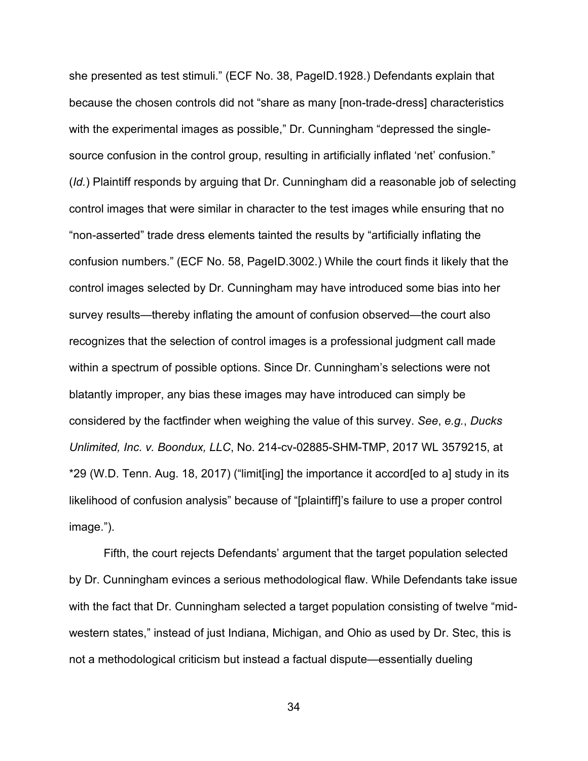she presented as test stimuli." (ECF No. 38, PageID.1928.) Defendants explain that because the chosen controls did not "share as many [non-trade-dress] characteristics with the experimental images as possible," Dr. Cunningham "depressed the singlesource confusion in the control group, resulting in artificially inflated 'net' confusion." (*Id.*) Plaintiff responds by arguing that Dr. Cunningham did a reasonable job of selecting control images that were similar in character to the test images while ensuring that no "non-asserted" trade dress elements tainted the results by "artificially inflating the confusion numbers." (ECF No. 58, PageID.3002.) While the court finds it likely that the control images selected by Dr. Cunningham may have introduced some bias into her survey results—thereby inflating the amount of confusion observed—the court also recognizes that the selection of control images is a professional judgment call made within a spectrum of possible options. Since Dr. Cunningham's selections were not blatantly improper, any bias these images may have introduced can simply be considered by the factfinder when weighing the value of this survey. *See*, *e.g.*, *Ducks Unlimited, Inc. v. Boondux, LLC*, No. 214-cv-02885-SHM-TMP, 2017 WL 3579215, at \*29 (W.D. Tenn. Aug. 18, 2017) ("limit[ing] the importance it accord[ed to a] study in its likelihood of confusion analysis" because of "[plaintiff]'s failure to use a proper control image.").

Fifth, the court rejects Defendants' argument that the target population selected by Dr. Cunningham evinces a serious methodological flaw. While Defendants take issue with the fact that Dr. Cunningham selected a target population consisting of twelve "midwestern states," instead of just Indiana, Michigan, and Ohio as used by Dr. Stec, this is not a methodological criticism but instead a factual dispute—essentially dueling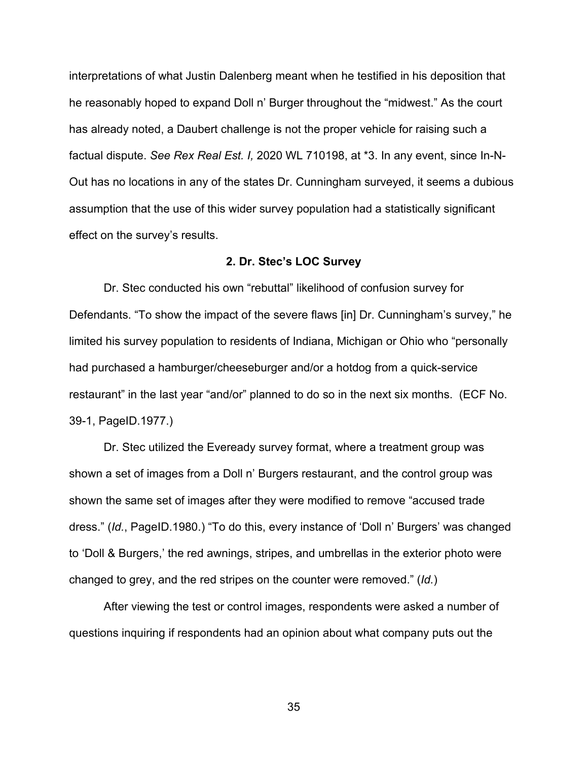interpretations of what Justin Dalenberg meant when he testified in his deposition that he reasonably hoped to expand Doll n' Burger throughout the "midwest." As the court has already noted, a Daubert challenge is not the proper vehicle for raising such a factual dispute. *See Rex Real Est. I,* 2020 WL 710198, at \*3. In any event, since In-N-Out has no locations in any of the states Dr. Cunningham surveyed, it seems a dubious assumption that the use of this wider survey population had a statistically significant effect on the survey's results.

#### **2. Dr. Stec's LOC Survey**

Dr. Stec conducted his own "rebuttal" likelihood of confusion survey for Defendants. "To show the impact of the severe flaws [in] Dr. Cunningham's survey," he limited his survey population to residents of Indiana, Michigan or Ohio who "personally had purchased a hamburger/cheeseburger and/or a hotdog from a quick-service restaurant" in the last year "and/or" planned to do so in the next six months. (ECF No. 39-1, PageID.1977.)

Dr. Stec utilized the Eveready survey format, where a treatment group was shown a set of images from a Doll n' Burgers restaurant, and the control group was shown the same set of images after they were modified to remove "accused trade dress." (*Id.*, PageID.1980.) "To do this, every instance of 'Doll n' Burgers' was changed to 'Doll & Burgers,' the red awnings, stripes, and umbrellas in the exterior photo were changed to grey, and the red stripes on the counter were removed." (*Id.*)

After viewing the test or control images, respondents were asked a number of questions inquiring if respondents had an opinion about what company puts out the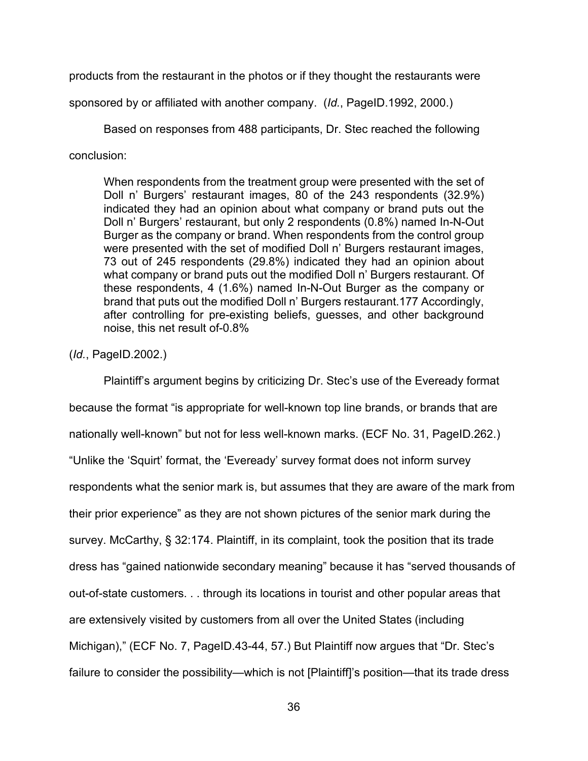products from the restaurant in the photos or if they thought the restaurants were

sponsored by or affiliated with another company. (*Id.*, PageID.1992, 2000.)

Based on responses from 488 participants, Dr. Stec reached the following conclusion:

When respondents from the treatment group were presented with the set of Doll n' Burgers' restaurant images, 80 of the 243 respondents (32.9%) indicated they had an opinion about what company or brand puts out the Doll n' Burgers' restaurant, but only 2 respondents (0.8%) named In-N-Out Burger as the company or brand. When respondents from the control group were presented with the set of modified Doll n' Burgers restaurant images, 73 out of 245 respondents (29.8%) indicated they had an opinion about what company or brand puts out the modified Doll n' Burgers restaurant. Of these respondents, 4 (1.6%) named In-N-Out Burger as the company or brand that puts out the modified Doll n' Burgers restaurant.177 Accordingly, after controlling for pre-existing beliefs, guesses, and other background noise, this net result of-0.8%

# (*Id.*, PageID.2002.)

Plaintiff's argument begins by criticizing Dr. Stec's use of the Eveready format because the format "is appropriate for well-known top line brands, or brands that are nationally well-known" but not for less well-known marks. (ECF No. 31, PageID.262.) "Unlike the 'Squirt' format, the 'Eveready' survey format does not inform survey respondents what the senior mark is, but assumes that they are aware of the mark from their prior experience" as they are not shown pictures of the senior mark during the survey. McCarthy, § 32:174. Plaintiff, in its complaint, took the position that its trade dress has "gained nationwide secondary meaning" because it has "served thousands of out-of-state customers. . . through its locations in tourist and other popular areas that are extensively visited by customers from all over the United States (including Michigan)," (ECF No. 7, PageID.43-44, 57.) But Plaintiff now argues that "Dr. Stec's failure to consider the possibility—which is not [Plaintiff]'s position—that its trade dress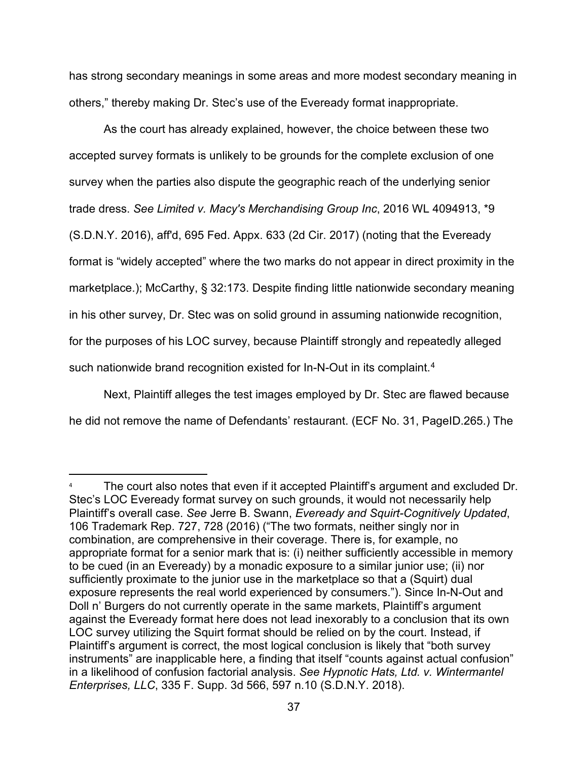has strong secondary meanings in some areas and more modest secondary meaning in others," thereby making Dr. Stec's use of the Eveready format inappropriate.

As the court has already explained, however, the choice between these two accepted survey formats is unlikely to be grounds for the complete exclusion of one survey when the parties also dispute the geographic reach of the underlying senior trade dress. *See Limited v. Macy's Merchandising Group Inc*, 2016 WL 4094913, \*9 (S.D.N.Y. 2016), aff'd, 695 Fed. Appx. 633 (2d Cir. 2017) (noting that the Eveready format is "widely accepted" where the two marks do not appear in direct proximity in the marketplace.); McCarthy, § 32:173. Despite finding little nationwide secondary meaning in his other survey, Dr. Stec was on solid ground in assuming nationwide recognition, for the purposes of his LOC survey, because Plaintiff strongly and repeatedly alleged such nationwide brand recognition existed for In-N-Out in its complaint. [4](#page-36-0)

Next, Plaintiff alleges the test images employed by Dr. Stec are flawed because he did not remove the name of Defendants' restaurant. (ECF No. 31, PageID.265.) The

<span id="page-36-0"></span>The court also notes that even if it accepted Plaintiff's argument and excluded Dr. Stec's LOC Eveready format survey on such grounds, it would not necessarily help Plaintiff's overall case. *See* Jerre B. Swann, *Eveready and Squirt-Cognitively Updated*, 106 Trademark Rep. 727, 728 (2016) ("The two formats, neither singly nor in combination, are comprehensive in their coverage. There is, for example, no appropriate format for a senior mark that is: (i) neither sufficiently accessible in memory to be cued (in an Eveready) by a monadic exposure to a similar junior use; (ii) nor sufficiently proximate to the junior use in the marketplace so that a (Squirt) dual exposure represents the real world experienced by consumers."). Since In-N-Out and Doll n' Burgers do not currently operate in the same markets, Plaintiff's argument against the Eveready format here does not lead inexorably to a conclusion that its own LOC survey utilizing the Squirt format should be relied on by the court. Instead, if Plaintiff's argument is correct, the most logical conclusion is likely that "both survey instruments" are inapplicable here, a finding that itself "counts against actual confusion" in a likelihood of confusion factorial analysis. *See Hypnotic Hats, Ltd. v. Wintermantel Enterprises, LLC*, 335 F. Supp. 3d 566, 597 n.10 (S.D.N.Y. 2018).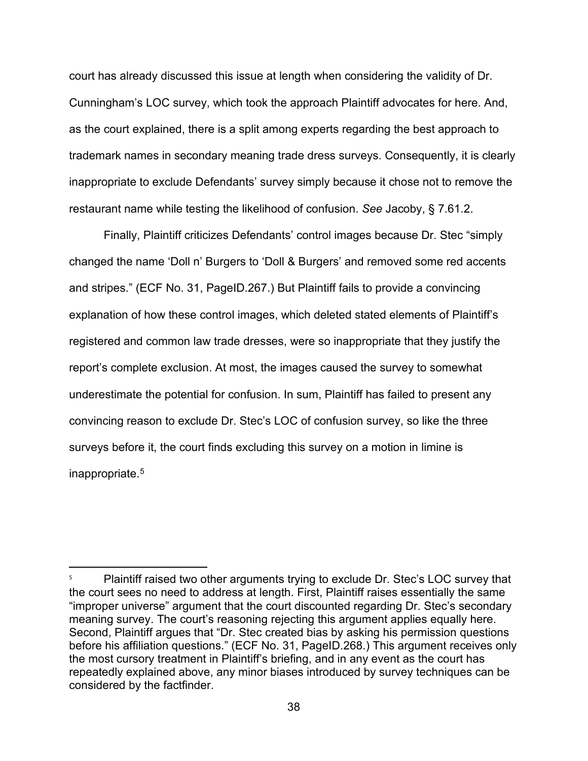court has already discussed this issue at length when considering the validity of Dr. Cunningham's LOC survey, which took the approach Plaintiff advocates for here. And, as the court explained, there is a split among experts regarding the best approach to trademark names in secondary meaning trade dress surveys. Consequently, it is clearly inappropriate to exclude Defendants' survey simply because it chose not to remove the restaurant name while testing the likelihood of confusion. *See* Jacoby, § 7.61.2.

Finally, Plaintiff criticizes Defendants' control images because Dr. Stec "simply changed the name 'Doll n' Burgers to 'Doll & Burgers' and removed some red accents and stripes." (ECF No. 31, PageID.267.) But Plaintiff fails to provide a convincing explanation of how these control images, which deleted stated elements of Plaintiff's registered and common law trade dresses, were so inappropriate that they justify the report's complete exclusion. At most, the images caused the survey to somewhat underestimate the potential for confusion. In sum, Plaintiff has failed to present any convincing reason to exclude Dr. Stec's LOC of confusion survey, so like the three surveys before it, the court finds excluding this survey on a motion in limine is inappropriate.[5](#page-37-0)

<span id="page-37-0"></span><sup>5</sup> Plaintiff raised two other arguments trying to exclude Dr. Stec's LOC survey that the court sees no need to address at length. First, Plaintiff raises essentially the same "improper universe" argument that the court discounted regarding Dr. Stec's secondary meaning survey. The court's reasoning rejecting this argument applies equally here. Second, Plaintiff argues that "Dr. Stec created bias by asking his permission questions before his affiliation questions." (ECF No. 31, PageID.268.) This argument receives only the most cursory treatment in Plaintiff's briefing, and in any event as the court has repeatedly explained above, any minor biases introduced by survey techniques can be considered by the factfinder.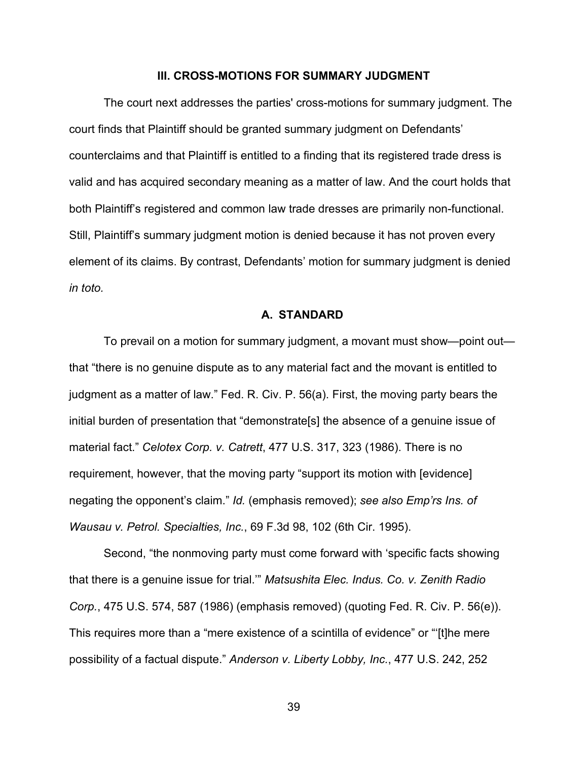#### **III. CROSS-MOTIONS FOR SUMMARY JUDGMENT**

The court next addresses the parties' cross-motions for summary judgment. The court finds that Plaintiff should be granted summary judgment on Defendants' counterclaims and that Plaintiff is entitled to a finding that its registered trade dress is valid and has acquired secondary meaning as a matter of law. And the court holds that both Plaintiff's registered and common law trade dresses are primarily non-functional. Still, Plaintiff's summary judgment motion is denied because it has not proven every element of its claims. By contrast, Defendants' motion for summary judgment is denied *in toto.*

#### **A. STANDARD**

To prevail on a motion for summary judgment, a movant must show—point out that "there is no genuine dispute as to any material fact and the movant is entitled to judgment as a matter of law." Fed. R. Civ. P. 56(a). First, the moving party bears the initial burden of presentation that "demonstrate[s] the absence of a genuine issue of material fact." *Celotex Corp. v. Catrett*, 477 U.S. 317, 323 (1986). There is no requirement, however, that the moving party "support its motion with [evidence] negating the opponent's claim." *Id.* (emphasis removed); *see also Emp'rs Ins. of Wausau v. Petrol. Specialties, Inc.*, 69 F.3d 98, 102 (6th Cir. 1995).

Second, "the nonmoving party must come forward with 'specific facts showing that there is a genuine issue for trial.'" *Matsushita Elec. Indus. Co. v. Zenith Radio Corp.*, 475 U.S. 574, 587 (1986) (emphasis removed) (quoting Fed. R. Civ. P. 56(e)). This requires more than a "mere existence of a scintilla of evidence" or "'[t]he mere possibility of a factual dispute." *Anderson v. Liberty Lobby, Inc.*, 477 U.S. 242, 252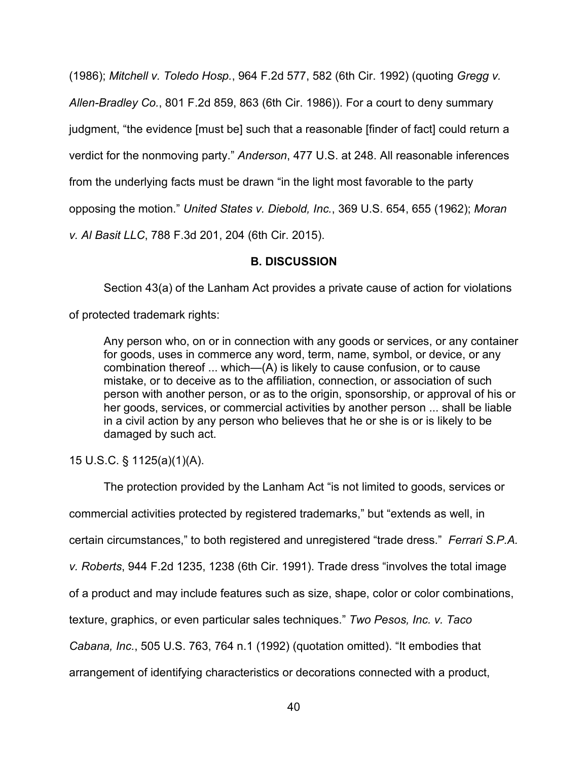(1986); *Mitchell v. Toledo Hosp.*, 964 F.2d 577, 582 (6th Cir. 1992) (quoting *Gregg v.* 

*Allen-Bradley Co.*, 801 F.2d 859, 863 (6th Cir. 1986)). For a court to deny summary

judgment, "the evidence [must be] such that a reasonable [finder of fact] could return a

verdict for the nonmoving party." *Anderson*, 477 U.S. at 248. All reasonable inferences

from the underlying facts must be drawn "in the light most favorable to the party

opposing the motion." *United States v. Diebold, Inc.*, 369 U.S. 654, 655 (1962); *Moran* 

*v. Al Basit LLC*, 788 F.3d 201, 204 (6th Cir. 2015).

# **B. DISCUSSION**

Section 43(a) of the Lanham Act provides a private cause of action for violations

of protected trademark rights:

Any person who, on or in connection with any goods or services, or any container for goods, uses in commerce any word, term, name, symbol, or device, or any combination thereof ... which—(A) is likely to cause confusion, or to cause mistake, or to deceive as to the affiliation, connection, or association of such person with another person, or as to the origin, sponsorship, or approval of his or her goods, services, or commercial activities by another person ... shall be liable in a civil action by any person who believes that he or she is or is likely to be damaged by such act.

# 15 U.S.C. § 1125(a)(1)(A).

The protection provided by the Lanham Act "is not limited to goods, services or commercial activities protected by registered trademarks," but "extends as well, in certain circumstances," to both registered and unregistered "trade dress." *Ferrari S.P.A. v. Roberts*, 944 F.2d 1235, 1238 (6th Cir. 1991). Trade dress "involves the total image of a product and may include features such as size, shape, color or color combinations, texture, graphics, or even particular sales techniques." *Two Pesos, Inc. v. Taco Cabana, Inc.*, 505 U.S. 763, 764 n.1 (1992) (quotation omitted). "It embodies that arrangement of identifying characteristics or decorations connected with a product,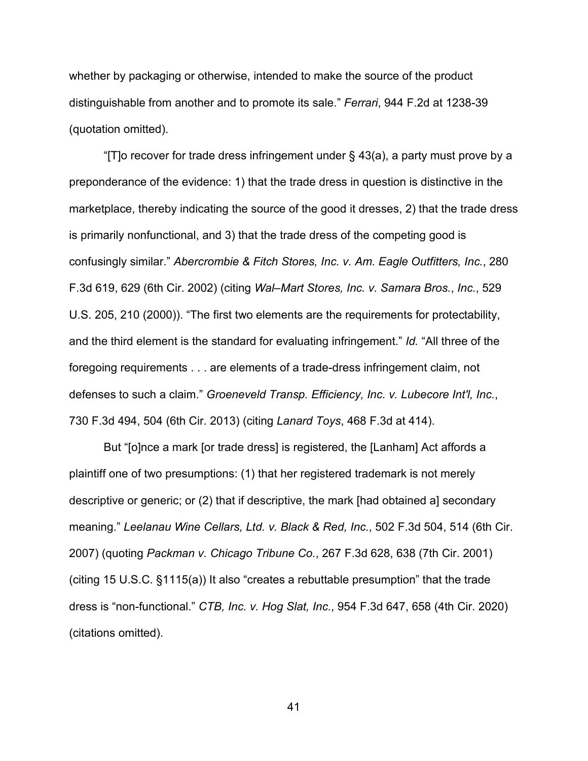whether by packaging or otherwise, intended to make the source of the product distinguishable from another and to promote its sale." *Ferrari*, 944 F.2d at 1238-39 (quotation omitted).

"[T]o recover for trade dress infringement under  $\S$  43(a), a party must prove by a preponderance of the evidence: 1) that the trade dress in question is distinctive in the marketplace, thereby indicating the source of the good it dresses, 2) that the trade dress is primarily nonfunctional, and 3) that the trade dress of the competing good is confusingly similar." *Abercrombie & Fitch Stores, Inc. v. Am. Eagle Outfitters, Inc.*, 280 F.3d 619, 629 (6th Cir. 2002) (citing *Wal–Mart Stores, Inc. v. Samara Bros.*, *Inc.*, 529 U.S. 205, 210 (2000)). "The first two elements are the requirements for protectability, and the third element is the standard for evaluating infringement." *Id.* "All three of the foregoing requirements . . . are elements of a trade-dress infringement claim, not defenses to such a claim." *Groeneveld Transp. Efficiency, Inc. v. Lubecore Int'l, Inc.*, 730 F.3d 494, 504 (6th Cir. 2013) (citing *Lanard Toys*, 468 F.3d at 414).

But "[o]nce a mark [or trade dress] is registered, the [Lanham] Act affords a plaintiff one of two presumptions: (1) that her registered trademark is not merely descriptive or generic; or (2) that if descriptive, the mark [had obtained a] secondary meaning." *Leelanau Wine Cellars, Ltd. v. Black & Red, Inc.*, 502 F.3d 504, 514 (6th Cir. 2007) (quoting *Packman v. Chicago Tribune Co.*, 267 F.3d 628, 638 (7th Cir. 2001) (citing 15 U.S.C. §1115(a)) It also "creates a rebuttable presumption" that the trade dress is "non-functional." *CTB, Inc. v. Hog Slat, Inc.*, 954 F.3d 647, 658 (4th Cir. 2020) (citations omitted).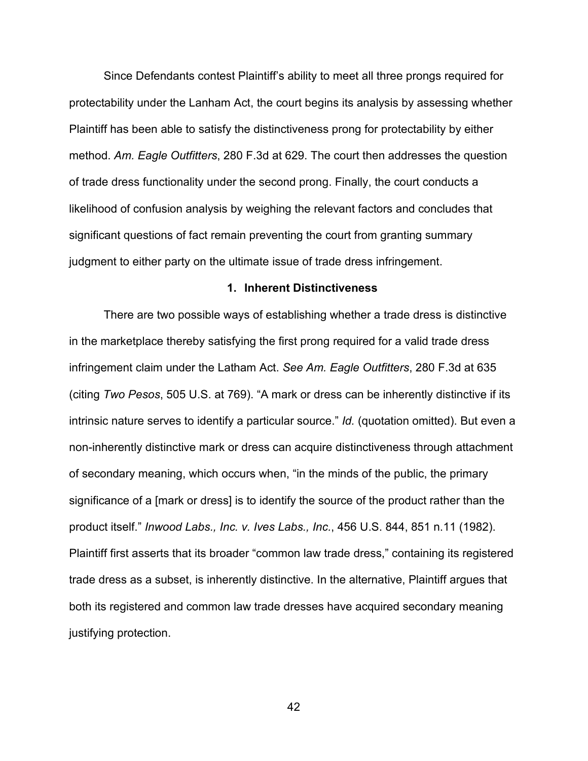Since Defendants contest Plaintiff's ability to meet all three prongs required for protectability under the Lanham Act, the court begins its analysis by assessing whether Plaintiff has been able to satisfy the distinctiveness prong for protectability by either method. *Am. Eagle Outfitters*, 280 F.3d at 629. The court then addresses the question of trade dress functionality under the second prong. Finally, the court conducts a likelihood of confusion analysis by weighing the relevant factors and concludes that significant questions of fact remain preventing the court from granting summary judgment to either party on the ultimate issue of trade dress infringement.

# **1. Inherent Distinctiveness**

There are two possible ways of establishing whether a trade dress is distinctive in the marketplace thereby satisfying the first prong required for a valid trade dress infringement claim under the Latham Act. *See Am. Eagle Outfitters*, 280 F.3d at 635 (citing *Two Pesos*, 505 U.S. at 769). "A mark or dress can be inherently distinctive if its intrinsic nature serves to identify a particular source." *Id.* (quotation omitted). But even a non-inherently distinctive mark or dress can acquire distinctiveness through attachment of secondary meaning, which occurs when, "in the minds of the public, the primary significance of a [mark or dress] is to identify the source of the product rather than the product itself." *Inwood Labs., Inc. v. Ives Labs., Inc.*, 456 U.S. 844, 851 n.11 (1982). Plaintiff first asserts that its broader "common law trade dress," containing its registered trade dress as a subset, is inherently distinctive. In the alternative, Plaintiff argues that both its registered and common law trade dresses have acquired secondary meaning justifying protection.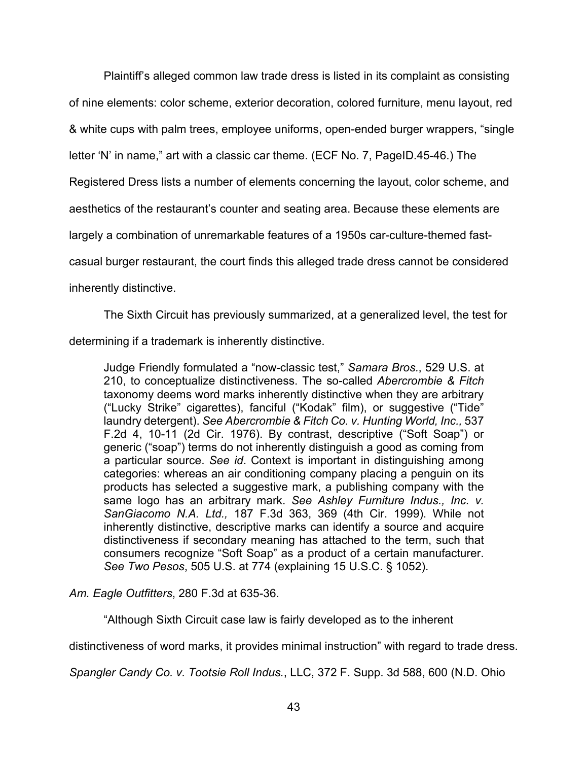Plaintiff's alleged common law trade dress is listed in its complaint as consisting of nine elements: color scheme, exterior decoration, colored furniture, menu layout, red & white cups with palm trees, employee uniforms, open-ended burger wrappers, "single letter 'N' in name," art with a classic car theme. (ECF No. 7, PageID.45-46.) The Registered Dress lists a number of elements concerning the layout, color scheme, and aesthetics of the restaurant's counter and seating area. Because these elements are largely a combination of unremarkable features of a 1950s car-culture-themed fastcasual burger restaurant, the court finds this alleged trade dress cannot be considered inherently distinctive.

The Sixth Circuit has previously summarized, at a generalized level, the test for determining if a trademark is inherently distinctive.

Judge Friendly formulated a "now-classic test," *Samara Bros.*, 529 U.S. at 210, to conceptualize distinctiveness. The so-called *Abercrombie & Fitch* taxonomy deems word marks inherently distinctive when they are arbitrary ("Lucky Strike" cigarettes), fanciful ("Kodak" film), or suggestive ("Tide" laundry detergent). *See Abercrombie & Fitch Co. v. Hunting World, Inc.,* 537 F.2d 4, 10-11 (2d Cir. 1976). By contrast, descriptive ("Soft Soap") or generic ("soap") terms do not inherently distinguish a good as coming from a particular source. *See id*. Context is important in distinguishing among categories: whereas an air conditioning company placing a penguin on its products has selected a suggestive mark, a publishing company with the same logo has an arbitrary mark. *See Ashley Furniture Indus., Inc. v. SanGiacomo N.A. Ltd.,* 187 F.3d 363, 369 (4th Cir. 1999). While not inherently distinctive, descriptive marks can identify a source and acquire distinctiveness if secondary meaning has attached to the term, such that consumers recognize "Soft Soap" as a product of a certain manufacturer. *See Two Pesos*, 505 U.S. at 774 (explaining 15 U.S.C. § 1052).

*Am. Eagle Outfitters*, 280 F.3d at 635-36.

"Although Sixth Circuit case law is fairly developed as to the inherent

distinctiveness of word marks, it provides minimal instruction" with regard to trade dress.

*Spangler Candy Co. v. Tootsie Roll Indus.*, LLC, 372 F. Supp. 3d 588, 600 (N.D. Ohio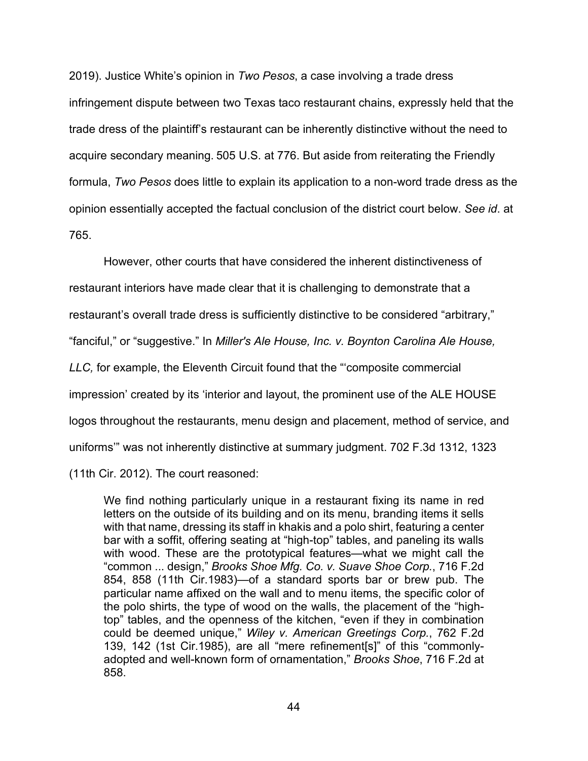2019). Justice White's opinion in *Two Pesos*, a case involving a trade dress infringement dispute between two Texas taco restaurant chains, expressly held that the trade dress of the plaintiff's restaurant can be inherently distinctive without the need to acquire secondary meaning. 505 U.S. at 776. But aside from reiterating the Friendly formula, *Two Pesos* does little to explain its application to a non-word trade dress as the opinion essentially accepted the factual conclusion of the district court below. *See id*. at 765.

However, other courts that have considered the inherent distinctiveness of restaurant interiors have made clear that it is challenging to demonstrate that a restaurant's overall trade dress is sufficiently distinctive to be considered "arbitrary," "fanciful," or "suggestive." In *Miller's Ale House, Inc. v. Boynton Carolina Ale House, LLC,* for example, the Eleventh Circuit found that the "'composite commercial impression' created by its 'interior and layout, the prominent use of the ALE HOUSE logos throughout the restaurants, menu design and placement, method of service, and uniforms'" was not inherently distinctive at summary judgment. 702 F.3d 1312, 1323 (11th Cir. 2012). The court reasoned:

We find nothing particularly unique in a restaurant fixing its name in red letters on the outside of its building and on its menu, branding items it sells with that name, dressing its staff in khakis and a polo shirt, featuring a center bar with a soffit, offering seating at "high-top" tables, and paneling its walls with wood. These are the prototypical features—what we might call the "common ... design," *Brooks Shoe Mfg. Co. v. Suave Shoe Corp.*, 716 F.2d 854, 858 (11th Cir.1983)—of a standard sports bar or brew pub. The particular name affixed on the wall and to menu items, the specific color of the polo shirts, the type of wood on the walls, the placement of the "hightop" tables, and the openness of the kitchen, "even if they in combination could be deemed unique," *Wiley v. American Greetings Corp.*, 762 F.2d 139, 142 (1st Cir.1985), are all "mere refinement[s]" of this "commonlyadopted and well-known form of ornamentation," *Brooks Shoe*, 716 F.2d at 858.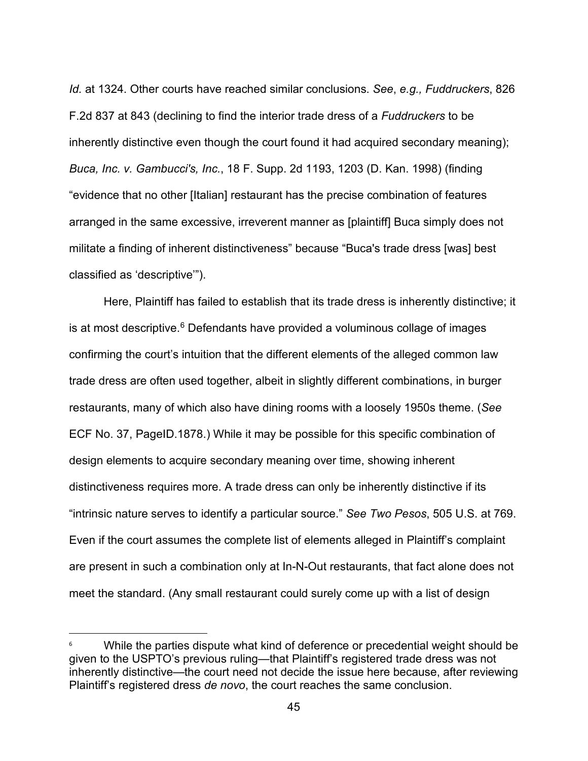*Id.* at 1324. Other courts have reached similar conclusions. *See*, *e.g., Fuddruckers*, 826 F.2d 837 at 843 (declining to find the interior trade dress of a *Fuddruckers* to be inherently distinctive even though the court found it had acquired secondary meaning); *Buca, Inc. v. Gambucci's, Inc.*, 18 F. Supp. 2d 1193, 1203 (D. Kan. 1998) (finding "evidence that no other [Italian] restaurant has the precise combination of features arranged in the same excessive, irreverent manner as [plaintiff] Buca simply does not militate a finding of inherent distinctiveness" because "Buca's trade dress [was] best classified as 'descriptive'").

Here, Plaintiff has failed to establish that its trade dress is inherently distinctive; it is at most descriptive.<sup>[6](#page-44-0)</sup> Defendants have provided a voluminous collage of images confirming the court's intuition that the different elements of the alleged common law trade dress are often used together, albeit in slightly different combinations, in burger restaurants, many of which also have dining rooms with a loosely 1950s theme. (*See*  ECF No. 37, PageID.1878.) While it may be possible for this specific combination of design elements to acquire secondary meaning over time, showing inherent distinctiveness requires more. A trade dress can only be inherently distinctive if its "intrinsic nature serves to identify a particular source." *See Two Pesos*, 505 U.S. at 769. Even if the court assumes the complete list of elements alleged in Plaintiff's complaint are present in such a combination only at In-N-Out restaurants, that fact alone does not meet the standard. (Any small restaurant could surely come up with a list of design

<span id="page-44-0"></span>While the parties dispute what kind of deference or precedential weight should be given to the USPTO's previous ruling—that Plaintiff's registered trade dress was not inherently distinctive—the court need not decide the issue here because, after reviewing Plaintiff's registered dress *de novo*, the court reaches the same conclusion.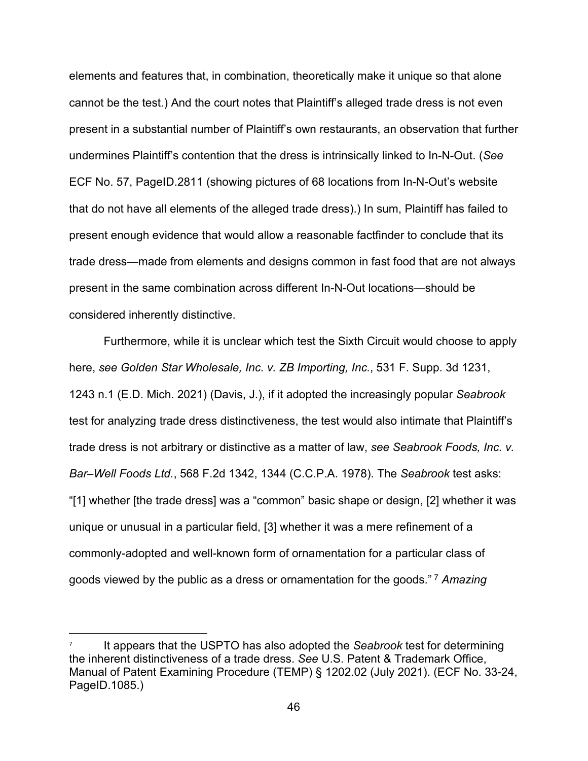elements and features that, in combination, theoretically make it unique so that alone cannot be the test.) And the court notes that Plaintiff's alleged trade dress is not even present in a substantial number of Plaintiff's own restaurants, an observation that further undermines Plaintiff's contention that the dress is intrinsically linked to In-N-Out. (*See*  ECF No. 57, PageID.2811 (showing pictures of 68 locations from In-N-Out's website that do not have all elements of the alleged trade dress).) In sum, Plaintiff has failed to present enough evidence that would allow a reasonable factfinder to conclude that its trade dress—made from elements and designs common in fast food that are not always present in the same combination across different In-N-Out locations—should be considered inherently distinctive.

Furthermore, while it is unclear which test the Sixth Circuit would choose to apply here, *see Golden Star Wholesale, Inc. v. ZB Importing, Inc.*, 531 F. Supp. 3d 1231, 1243 n.1 (E.D. Mich. 2021) (Davis, J.), if it adopted the increasingly popular *Seabrook*  test for analyzing trade dress distinctiveness, the test would also intimate that Plaintiff's trade dress is not arbitrary or distinctive as a matter of law, *see Seabrook Foods, Inc. v. Bar–Well Foods Ltd.*, 568 F.2d 1342, 1344 (C.C.P.A. 1978). The *Seabrook* test asks: "[1] whether [the trade dress] was a "common" basic shape or design, [2] whether it was unique or unusual in a particular field, [3] whether it was a mere refinement of a commonly-adopted and well-known form of ornamentation for a particular class of goods viewed by the public as a dress or ornamentation for the goods." [7](#page-45-0) *Amazing* 

<span id="page-45-0"></span><sup>7</sup> It appears that the USPTO has also adopted the *Seabrook* test for determining the inherent distinctiveness of a trade dress. *See* U.S. Patent & Trademark Office, Manual of Patent Examining Procedure (TEMP) § 1202.02 (July 2021). (ECF No. 33-24, PageID.1085.)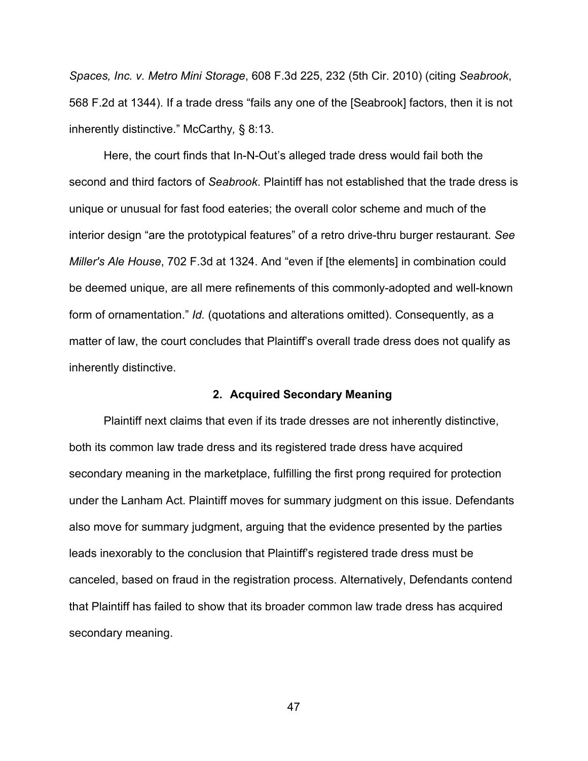*Spaces, Inc. v. Metro Mini Storage*, 608 F.3d 225, 232 (5th Cir. 2010) (citing *Seabrook*, 568 F.2d at 1344). If a trade dress "fails any one of the [Seabrook] factors, then it is not inherently distinctive." McCarthy*,* § 8:13.

Here, the court finds that In-N-Out's alleged trade dress would fail both the second and third factors of *Seabrook*. Plaintiff has not established that the trade dress is unique or unusual for fast food eateries; the overall color scheme and much of the interior design "are the prototypical features" of a retro drive-thru burger restaurant. *See Miller's Ale House*, 702 F.3d at 1324. And "even if [the elements] in combination could be deemed unique, are all mere refinements of this commonly-adopted and well-known form of ornamentation." *Id.* (quotations and alterations omitted). Consequently, as a matter of law, the court concludes that Plaintiff's overall trade dress does not qualify as inherently distinctive.

#### **2. Acquired Secondary Meaning**

Plaintiff next claims that even if its trade dresses are not inherently distinctive, both its common law trade dress and its registered trade dress have acquired secondary meaning in the marketplace, fulfilling the first prong required for protection under the Lanham Act. Plaintiff moves for summary judgment on this issue. Defendants also move for summary judgment, arguing that the evidence presented by the parties leads inexorably to the conclusion that Plaintiff's registered trade dress must be canceled, based on fraud in the registration process. Alternatively, Defendants contend that Plaintiff has failed to show that its broader common law trade dress has acquired secondary meaning.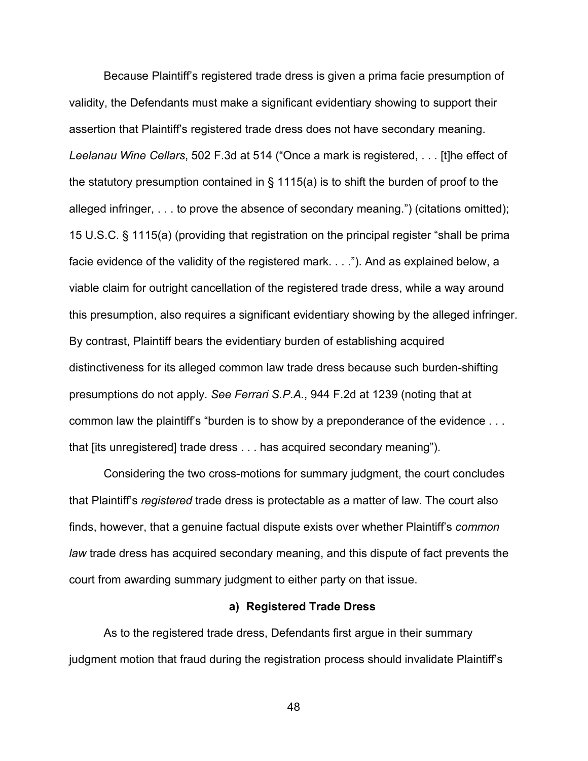Because Plaintiff's registered trade dress is given a prima facie presumption of validity, the Defendants must make a significant evidentiary showing to support their assertion that Plaintiff's registered trade dress does not have secondary meaning. *Leelanau Wine Cellars*, 502 F.3d at 514 ("Once a mark is registered, . . . [t]he effect of the statutory presumption contained in § 1115(a) is to shift the burden of proof to the alleged infringer, . . . to prove the absence of secondary meaning.") (citations omitted); 15 U.S.C. § 1115(a) (providing that registration on the principal register "shall be prima facie evidence of the validity of the registered mark. . . ."). And as explained below, a viable claim for outright cancellation of the registered trade dress, while a way around this presumption, also requires a significant evidentiary showing by the alleged infringer. By contrast, Plaintiff bears the evidentiary burden of establishing acquired distinctiveness for its alleged common law trade dress because such burden-shifting presumptions do not apply. *See Ferrari S.P.A.*, 944 F.2d at 1239 (noting that at common law the plaintiff's "burden is to show by a preponderance of the evidence . . . that [its unregistered] trade dress . . . has acquired secondary meaning").

Considering the two cross-motions for summary judgment, the court concludes that Plaintiff's *registered* trade dress is protectable as a matter of law. The court also finds, however, that a genuine factual dispute exists over whether Plaintiff's *common law* trade dress has acquired secondary meaning, and this dispute of fact prevents the court from awarding summary judgment to either party on that issue.

#### **a) Registered Trade Dress**

As to the registered trade dress, Defendants first argue in their summary judgment motion that fraud during the registration process should invalidate Plaintiff's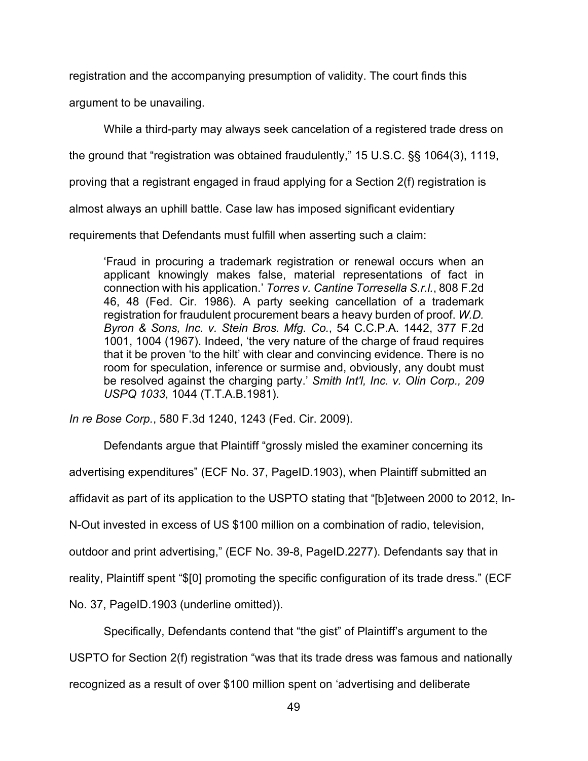registration and the accompanying presumption of validity. The court finds this

argument to be unavailing.

While a third-party may always seek cancelation of a registered trade dress on

the ground that "registration was obtained fraudulently," 15 U.S.C. §§ 1064(3), 1119,

proving that a registrant engaged in fraud applying for a Section 2(f) registration is

almost always an uphill battle. Case law has imposed significant evidentiary

requirements that Defendants must fulfill when asserting such a claim:

'Fraud in procuring a trademark registration or renewal occurs when an applicant knowingly makes false, material representations of fact in connection with his application.' *Torres v. Cantine Torresella S.r.l.*, 808 F.2d 46, 48 (Fed. Cir. 1986). A party seeking cancellation of a trademark registration for fraudulent procurement bears a heavy burden of proof. *W.D. Byron & Sons, Inc. v. Stein Bros. Mfg. Co.*, 54 C.C.P.A. 1442, 377 F.2d 1001, 1004 (1967). Indeed, 'the very nature of the charge of fraud requires that it be proven 'to the hilt' with clear and convincing evidence. There is no room for speculation, inference or surmise and, obviously, any doubt must be resolved against the charging party.' *Smith Int'l, Inc. v. Olin Corp., 209 USPQ 1033*, 1044 (T.T.A.B.1981).

*In re Bose Corp.*, 580 F.3d 1240, 1243 (Fed. Cir. 2009).

Defendants argue that Plaintiff "grossly misled the examiner concerning its

advertising expenditures" (ECF No. 37, PageID.1903), when Plaintiff submitted an

affidavit as part of its application to the USPTO stating that "[b]etween 2000 to 2012, In-

N-Out invested in excess of US \$100 million on a combination of radio, television,

outdoor and print advertising," (ECF No. 39-8, PageID.2277). Defendants say that in

reality, Plaintiff spent "\$[0] promoting the specific configuration of its trade dress." (ECF

No. 37, PageID.1903 (underline omitted)).

Specifically, Defendants contend that "the gist" of Plaintiff's argument to the

USPTO for Section 2(f) registration "was that its trade dress was famous and nationally

recognized as a result of over \$100 million spent on 'advertising and deliberate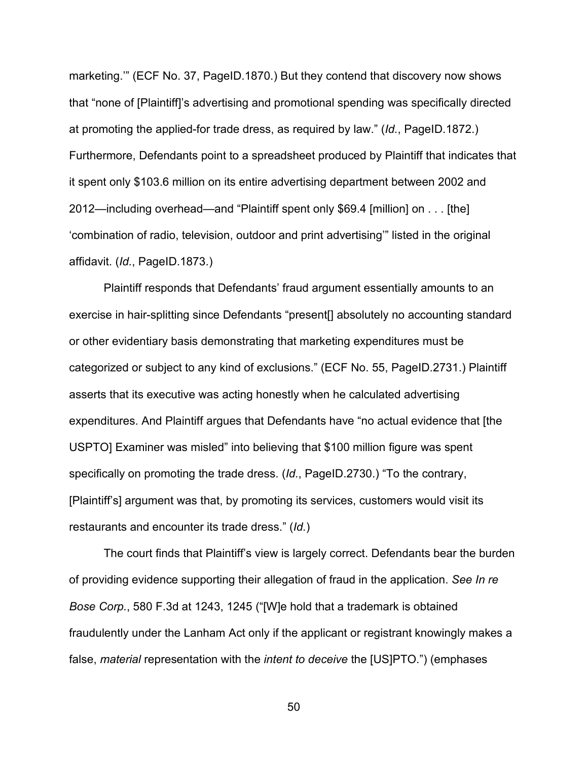marketing.'" (ECF No. 37, PageID.1870.) But they contend that discovery now shows that "none of [Plaintiff]'s advertising and promotional spending was specifically directed at promoting the applied-for trade dress, as required by law." (*Id.*, PageID.1872.) Furthermore, Defendants point to a spreadsheet produced by Plaintiff that indicates that it spent only \$103.6 million on its entire advertising department between 2002 and 2012—including overhead—and "Plaintiff spent only \$69.4 [million] on . . . [the] 'combination of radio, television, outdoor and print advertising'" listed in the original affidavit. (*Id.*, PageID.1873.)

Plaintiff responds that Defendants' fraud argument essentially amounts to an exercise in hair-splitting since Defendants "present[] absolutely no accounting standard or other evidentiary basis demonstrating that marketing expenditures must be categorized or subject to any kind of exclusions." (ECF No. 55, PageID.2731.) Plaintiff asserts that its executive was acting honestly when he calculated advertising expenditures. And Plaintiff argues that Defendants have "no actual evidence that [the USPTO] Examiner was misled" into believing that \$100 million figure was spent specifically on promoting the trade dress. (*Id.*, PageID.2730.) "To the contrary, [Plaintiff's] argument was that, by promoting its services, customers would visit its restaurants and encounter its trade dress." (*Id.*)

The court finds that Plaintiff's view is largely correct. Defendants bear the burden of providing evidence supporting their allegation of fraud in the application. *See In re Bose Corp.*, 580 F.3d at 1243, 1245 ("[W]e hold that a trademark is obtained fraudulently under the Lanham Act only if the applicant or registrant knowingly makes a false, *material* representation with the *intent to deceive* the [US]PTO.") (emphases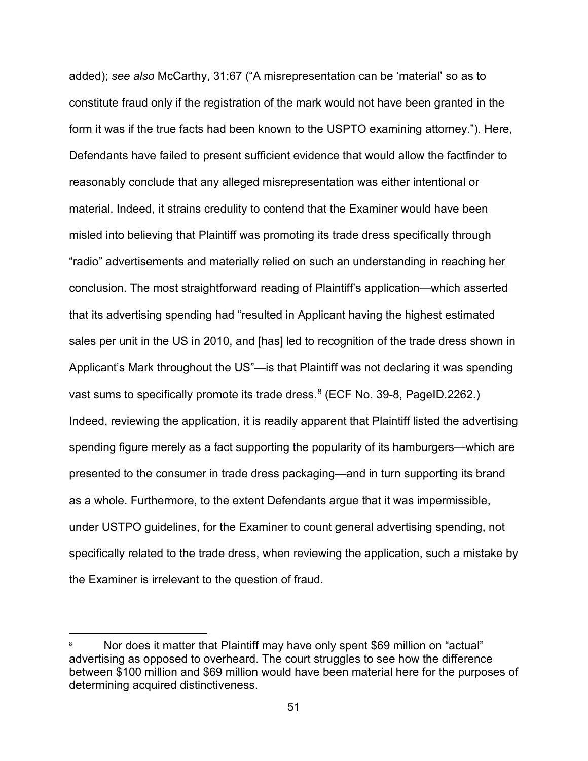added); *see also* McCarthy, 31:67 ("A misrepresentation can be 'material' so as to constitute fraud only if the registration of the mark would not have been granted in the form it was if the true facts had been known to the USPTO examining attorney."). Here, Defendants have failed to present sufficient evidence that would allow the factfinder to reasonably conclude that any alleged misrepresentation was either intentional or material. Indeed, it strains credulity to contend that the Examiner would have been misled into believing that Plaintiff was promoting its trade dress specifically through "radio" advertisements and materially relied on such an understanding in reaching her conclusion. The most straightforward reading of Plaintiff's application—which asserted that its advertising spending had "resulted in Applicant having the highest estimated sales per unit in the US in 2010, and [has] led to recognition of the trade dress shown in Applicant's Mark throughout the US"—is that Plaintiff was not declaring it was spending vast sums to specifically promote its trade dress. [8](#page-50-0) (ECF No. 39-8, PageID.2262.) Indeed, reviewing the application, it is readily apparent that Plaintiff listed the advertising spending figure merely as a fact supporting the popularity of its hamburgers—which are presented to the consumer in trade dress packaging—and in turn supporting its brand as a whole. Furthermore, to the extent Defendants argue that it was impermissible, under USTPO guidelines, for the Examiner to count general advertising spending, not specifically related to the trade dress, when reviewing the application, such a mistake by the Examiner is irrelevant to the question of fraud.

<span id="page-50-0"></span>Nor does it matter that Plaintiff may have only spent \$69 million on "actual" advertising as opposed to overheard. The court struggles to see how the difference between \$100 million and \$69 million would have been material here for the purposes of determining acquired distinctiveness.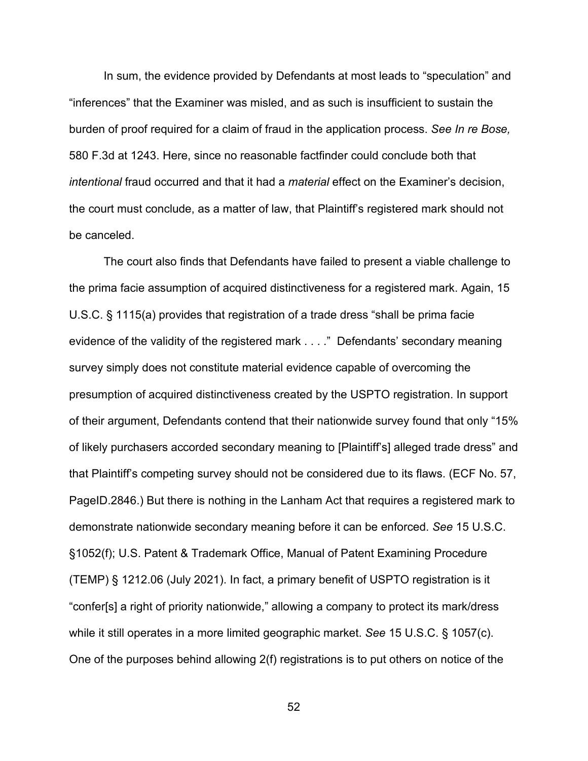In sum, the evidence provided by Defendants at most leads to "speculation" and "inferences" that the Examiner was misled, and as such is insufficient to sustain the burden of proof required for a claim of fraud in the application process. *See In re Bose,* 580 F.3d at 1243. Here, since no reasonable factfinder could conclude both that *intentional* fraud occurred and that it had a *material* effect on the Examiner's decision, the court must conclude, as a matter of law, that Plaintiff's registered mark should not be canceled.

The court also finds that Defendants have failed to present a viable challenge to the prima facie assumption of acquired distinctiveness for a registered mark. Again, 15 U.S.C. § 1115(a) provides that registration of a trade dress "shall be prima facie evidence of the validity of the registered mark . . . ." Defendants' secondary meaning survey simply does not constitute material evidence capable of overcoming the presumption of acquired distinctiveness created by the USPTO registration. In support of their argument, Defendants contend that their nationwide survey found that only "15% of likely purchasers accorded secondary meaning to [Plaintiff's] alleged trade dress" and that Plaintiff's competing survey should not be considered due to its flaws. (ECF No. 57, PageID.2846.) But there is nothing in the Lanham Act that requires a registered mark to demonstrate nationwide secondary meaning before it can be enforced. *See* 15 U.S.C. §1052(f); U.S. Patent & Trademark Office, Manual of Patent Examining Procedure (TEMP) § 1212.06 (July 2021). In fact, a primary benefit of USPTO registration is it "confer[s] a right of priority nationwide," allowing a company to protect its mark/dress while it still operates in a more limited geographic market. *See* 15 U.S.C. § 1057(c). One of the purposes behind allowing 2(f) registrations is to put others on notice of the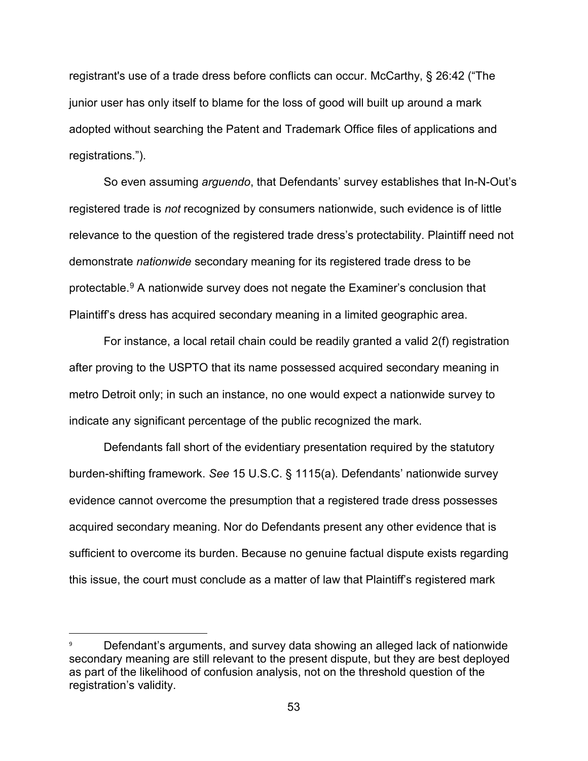registrant's use of a trade dress before conflicts can occur. McCarthy, § 26:42 ("The junior user has only itself to blame for the loss of good will built up around a mark adopted without searching the Patent and Trademark Office files of applications and registrations.").

So even assuming *arguendo*, that Defendants' survey establishes that In-N-Out's registered trade is *not* recognized by consumers nationwide, such evidence is of little relevance to the question of the registered trade dress's protectability. Plaintiff need not demonstrate *nationwide* secondary meaning for its registered trade dress to be protectable. [9](#page-52-0) A nationwide survey does not negate the Examiner's conclusion that Plaintiff's dress has acquired secondary meaning in a limited geographic area.

For instance, a local retail chain could be readily granted a valid 2(f) registration after proving to the USPTO that its name possessed acquired secondary meaning in metro Detroit only; in such an instance, no one would expect a nationwide survey to indicate any significant percentage of the public recognized the mark.

Defendants fall short of the evidentiary presentation required by the statutory burden-shifting framework. *See* 15 U.S.C. § 1115(a). Defendants' nationwide survey evidence cannot overcome the presumption that a registered trade dress possesses acquired secondary meaning. Nor do Defendants present any other evidence that is sufficient to overcome its burden. Because no genuine factual dispute exists regarding this issue, the court must conclude as a matter of law that Plaintiff's registered mark

<span id="page-52-0"></span>Defendant's arguments, and survey data showing an alleged lack of nationwide secondary meaning are still relevant to the present dispute, but they are best deployed as part of the likelihood of confusion analysis, not on the threshold question of the registration's validity.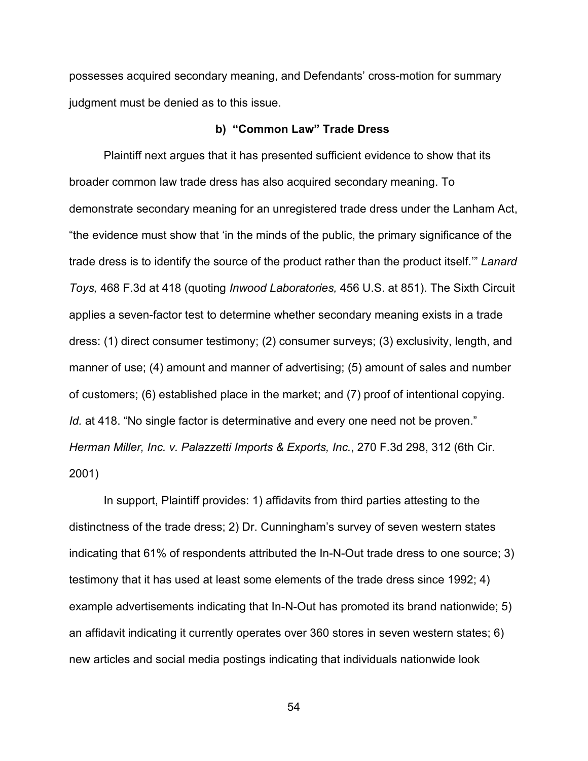possesses acquired secondary meaning, and Defendants' cross-motion for summary judgment must be denied as to this issue.

#### **b) "Common Law" Trade Dress**

Plaintiff next argues that it has presented sufficient evidence to show that its broader common law trade dress has also acquired secondary meaning. To demonstrate secondary meaning for an unregistered trade dress under the Lanham Act, "the evidence must show that 'in the minds of the public, the primary significance of the trade dress is to identify the source of the product rather than the product itself.'" *Lanard Toys,* 468 F.3d at 418 (quoting *Inwood Laboratories,* 456 U.S. at 851). The Sixth Circuit applies a seven-factor test to determine whether secondary meaning exists in a trade dress: (1) direct consumer testimony; (2) consumer surveys; (3) exclusivity, length, and manner of use; (4) amount and manner of advertising; (5) amount of sales and number of customers; (6) established place in the market; and (7) proof of intentional copying. *Id.* at 418. "No single factor is determinative and every one need not be proven." *Herman Miller, Inc. v. Palazzetti Imports & Exports, Inc.*, 270 F.3d 298, 312 (6th Cir. 2001)

In support, Plaintiff provides: 1) affidavits from third parties attesting to the distinctness of the trade dress; 2) Dr. Cunningham's survey of seven western states indicating that 61% of respondents attributed the In-N-Out trade dress to one source; 3) testimony that it has used at least some elements of the trade dress since 1992; 4) example advertisements indicating that In-N-Out has promoted its brand nationwide; 5) an affidavit indicating it currently operates over 360 stores in seven western states; 6) new articles and social media postings indicating that individuals nationwide look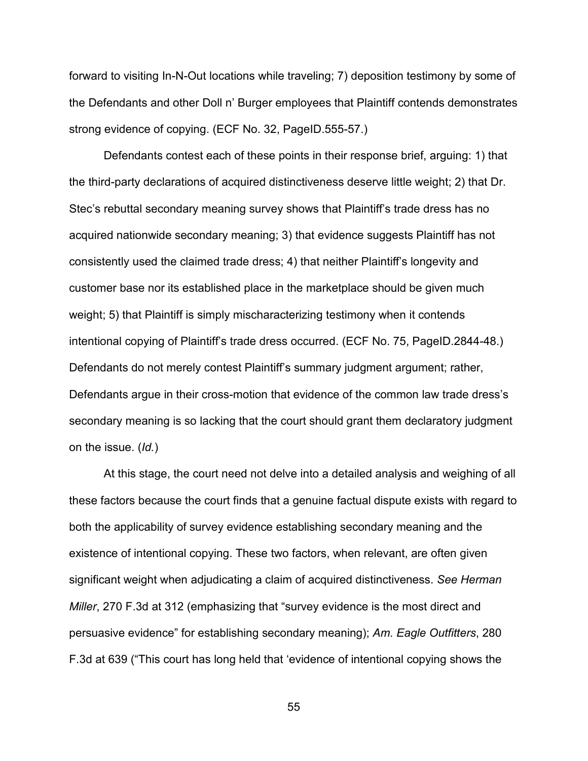forward to visiting In-N-Out locations while traveling; 7) deposition testimony by some of the Defendants and other Doll n' Burger employees that Plaintiff contends demonstrates strong evidence of copying. (ECF No. 32, PageID.555-57.)

Defendants contest each of these points in their response brief, arguing: 1) that the third-party declarations of acquired distinctiveness deserve little weight; 2) that Dr. Stec's rebuttal secondary meaning survey shows that Plaintiff's trade dress has no acquired nationwide secondary meaning; 3) that evidence suggests Plaintiff has not consistently used the claimed trade dress; 4) that neither Plaintiff's longevity and customer base nor its established place in the marketplace should be given much weight; 5) that Plaintiff is simply mischaracterizing testimony when it contends intentional copying of Plaintiff's trade dress occurred. (ECF No. 75, PageID.2844-48.) Defendants do not merely contest Plaintiff's summary judgment argument; rather, Defendants argue in their cross-motion that evidence of the common law trade dress's secondary meaning is so lacking that the court should grant them declaratory judgment on the issue. (*Id.*)

At this stage, the court need not delve into a detailed analysis and weighing of all these factors because the court finds that a genuine factual dispute exists with regard to both the applicability of survey evidence establishing secondary meaning and the existence of intentional copying. These two factors, when relevant, are often given significant weight when adjudicating a claim of acquired distinctiveness. *See Herman Miller*, 270 F.3d at 312 (emphasizing that "survey evidence is the most direct and persuasive evidence" for establishing secondary meaning); *Am. Eagle Outfitters*, 280 F.3d at 639 ("This court has long held that 'evidence of intentional copying shows the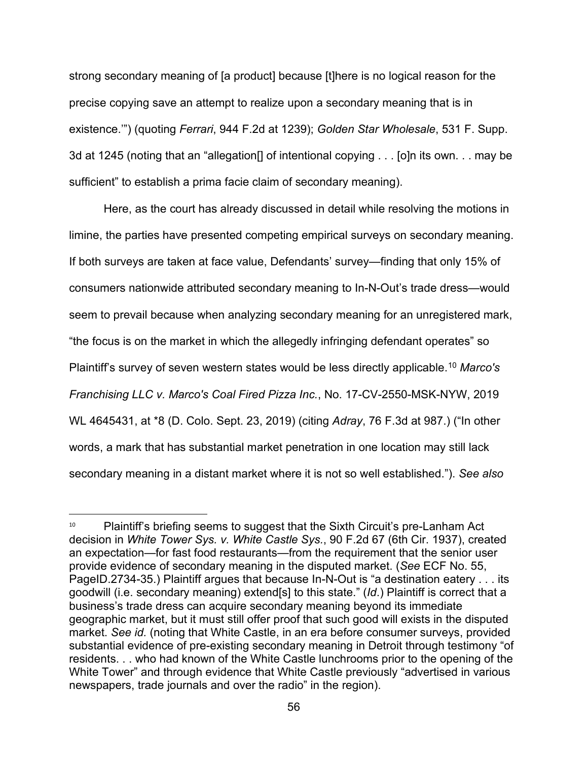strong secondary meaning of [a product] because [t]here is no logical reason for the precise copying save an attempt to realize upon a secondary meaning that is in existence.'") (quoting *Ferrari*, 944 F.2d at 1239); *Golden Star Wholesale*, 531 F. Supp. 3d at 1245 (noting that an "allegation[] of intentional copying . . . [o]n its own. . . may be sufficient" to establish a prima facie claim of secondary meaning).

Here, as the court has already discussed in detail while resolving the motions in limine, the parties have presented competing empirical surveys on secondary meaning. If both surveys are taken at face value, Defendants' survey—finding that only 15% of consumers nationwide attributed secondary meaning to In-N-Out's trade dress—would seem to prevail because when analyzing secondary meaning for an unregistered mark, "the focus is on the market in which the allegedly infringing defendant operates" so Plaintiff's survey of seven western states would be less directly applicable.[10](#page-55-0) *Marco's Franchising LLC v. Marco's Coal Fired Pizza Inc.*, No. 17-CV-2550-MSK-NYW, 2019 WL 4645431, at \*8 (D. Colo. Sept. 23, 2019) (citing *Adray*, 76 F.3d at 987.) ("In other words, a mark that has substantial market penetration in one location may still lack secondary meaning in a distant market where it is not so well established."). *See also* 

<span id="page-55-0"></span><sup>&</sup>lt;sup>10</sup> Plaintiff's briefing seems to suggest that the Sixth Circuit's pre-Lanham Act decision in *White Tower Sys. v. White Castle Sys.*, 90 F.2d 67 (6th Cir. 1937), created an expectation—for fast food restaurants—from the requirement that the senior user provide evidence of secondary meaning in the disputed market. (*See* ECF No. 55, PageID.2734-35.) Plaintiff argues that because In-N-Out is "a destination eatery . . . its goodwill (i.e. secondary meaning) extend[s] to this state." (*Id*.) Plaintiff is correct that a business's trade dress can acquire secondary meaning beyond its immediate geographic market, but it must still offer proof that such good will exists in the disputed market. *See id.* (noting that White Castle, in an era before consumer surveys, provided substantial evidence of pre-existing secondary meaning in Detroit through testimony "of residents. . . who had known of the White Castle lunchrooms prior to the opening of the White Tower" and through evidence that White Castle previously "advertised in various newspapers, trade journals and over the radio" in the region).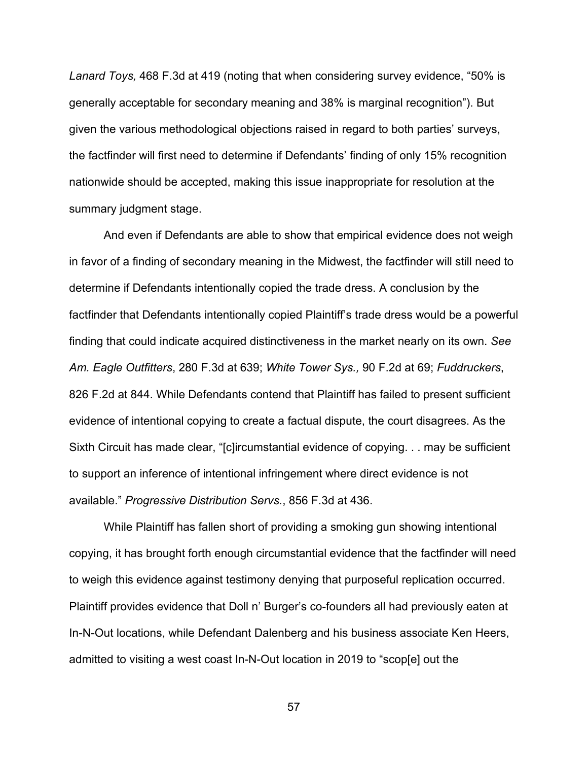*Lanard Toys,* 468 F.3d at 419 (noting that when considering survey evidence, "50% is generally acceptable for secondary meaning and 38% is marginal recognition"). But given the various methodological objections raised in regard to both parties' surveys, the factfinder will first need to determine if Defendants' finding of only 15% recognition nationwide should be accepted, making this issue inappropriate for resolution at the summary judgment stage.

And even if Defendants are able to show that empirical evidence does not weigh in favor of a finding of secondary meaning in the Midwest, the factfinder will still need to determine if Defendants intentionally copied the trade dress. A conclusion by the factfinder that Defendants intentionally copied Plaintiff's trade dress would be a powerful finding that could indicate acquired distinctiveness in the market nearly on its own. *See Am. Eagle Outfitters*, 280 F.3d at 639; *White Tower Sys.,* 90 F.2d at 69; *Fuddruckers*, 826 F.2d at 844. While Defendants contend that Plaintiff has failed to present sufficient evidence of intentional copying to create a factual dispute, the court disagrees. As the Sixth Circuit has made clear, "[c]ircumstantial evidence of copying. . . may be sufficient to support an inference of intentional infringement where direct evidence is not available." *Progressive Distribution Servs.*, 856 F.3d at 436.

While Plaintiff has fallen short of providing a smoking gun showing intentional copying, it has brought forth enough circumstantial evidence that the factfinder will need to weigh this evidence against testimony denying that purposeful replication occurred. Plaintiff provides evidence that Doll n' Burger's co-founders all had previously eaten at In-N-Out locations, while Defendant Dalenberg and his business associate Ken Heers, admitted to visiting a west coast In-N-Out location in 2019 to "scop[e] out the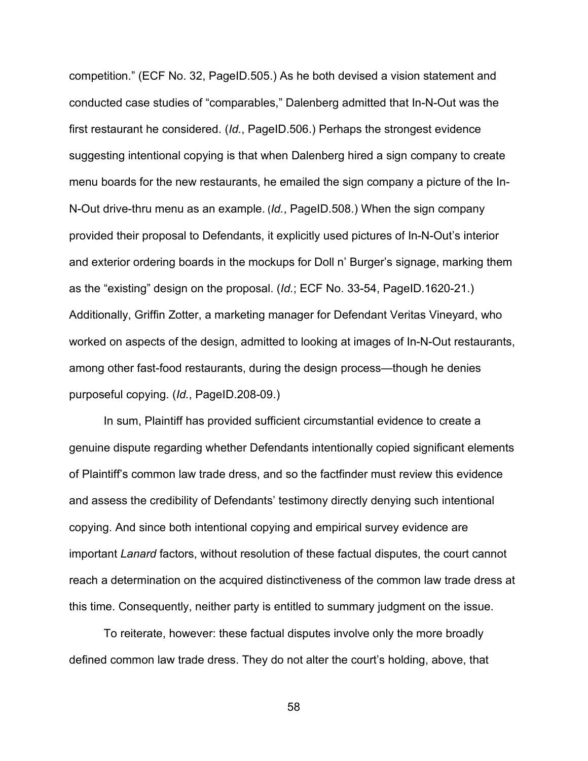competition." (ECF No. 32, PageID.505.) As he both devised a vision statement and conducted case studies of "comparables," Dalenberg admitted that In-N-Out was the first restaurant he considered. (*Id.*, PageID.506.) Perhaps the strongest evidence suggesting intentional copying is that when Dalenberg hired a sign company to create menu boards for the new restaurants, he emailed the sign company a picture of the In-N-Out drive-thru menu as an example. (*Id.*, PageID.508.) When the sign company provided their proposal to Defendants, it explicitly used pictures of In-N-Out's interior and exterior ordering boards in the mockups for Doll n' Burger's signage, marking them as the "existing" design on the proposal. (*Id.*; ECF No. 33-54, PageID.1620-21.) Additionally, Griffin Zotter, a marketing manager for Defendant Veritas Vineyard, who worked on aspects of the design, admitted to looking at images of In-N-Out restaurants, among other fast-food restaurants, during the design process—though he denies purposeful copying. (*Id.*, PageID.208-09.)

In sum, Plaintiff has provided sufficient circumstantial evidence to create a genuine dispute regarding whether Defendants intentionally copied significant elements of Plaintiff's common law trade dress, and so the factfinder must review this evidence and assess the credibility of Defendants' testimony directly denying such intentional copying. And since both intentional copying and empirical survey evidence are important *Lanard* factors, without resolution of these factual disputes, the court cannot reach a determination on the acquired distinctiveness of the common law trade dress at this time. Consequently, neither party is entitled to summary judgment on the issue.

To reiterate, however: these factual disputes involve only the more broadly defined common law trade dress. They do not alter the court's holding, above, that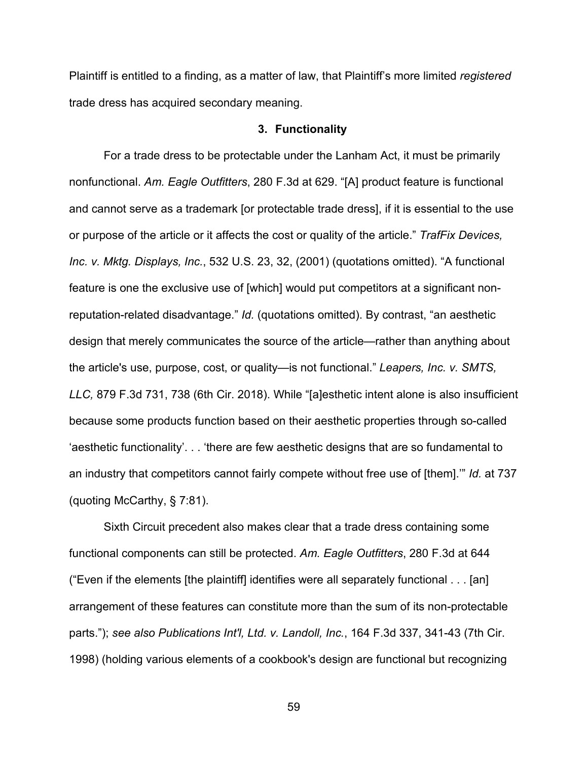Plaintiff is entitled to a finding, as a matter of law, that Plaintiff's more limited *registered* trade dress has acquired secondary meaning.

#### **3. Functionality**

For a trade dress to be protectable under the Lanham Act, it must be primarily nonfunctional. *Am. Eagle Outfitters*, 280 F.3d at 629. "[A] product feature is functional and cannot serve as a trademark [or protectable trade dress], if it is essential to the use or purpose of the article or it affects the cost or quality of the article." *TrafFix Devices, Inc. v. Mktg. Displays, Inc.*, 532 U.S. 23, 32, (2001) (quotations omitted). "A functional feature is one the exclusive use of [which] would put competitors at a significant nonreputation-related disadvantage." *Id.* (quotations omitted). By contrast, "an aesthetic design that merely communicates the source of the article—rather than anything about the article's use, purpose, cost, or quality—is not functional." *Leapers, Inc. v. SMTS, LLC,* 879 F.3d 731, 738 (6th Cir. 2018). While "[a]esthetic intent alone is also insufficient because some products function based on their aesthetic properties through so-called 'aesthetic functionality'. . . 'there are few aesthetic designs that are so fundamental to an industry that competitors cannot fairly compete without free use of [them].'" *Id.* at 737 (quoting McCarthy, § 7:81).

Sixth Circuit precedent also makes clear that a trade dress containing some functional components can still be protected. *Am. Eagle Outfitters*, 280 F.3d at 644 ("Even if the elements [the plaintiff] identifies were all separately functional . . . [an] arrangement of these features can constitute more than the sum of its non-protectable parts."); *see also Publications Int'l, Ltd. v. Landoll, Inc.*, 164 F.3d 337, 341-43 (7th Cir. 1998) (holding various elements of a cookbook's design are functional but recognizing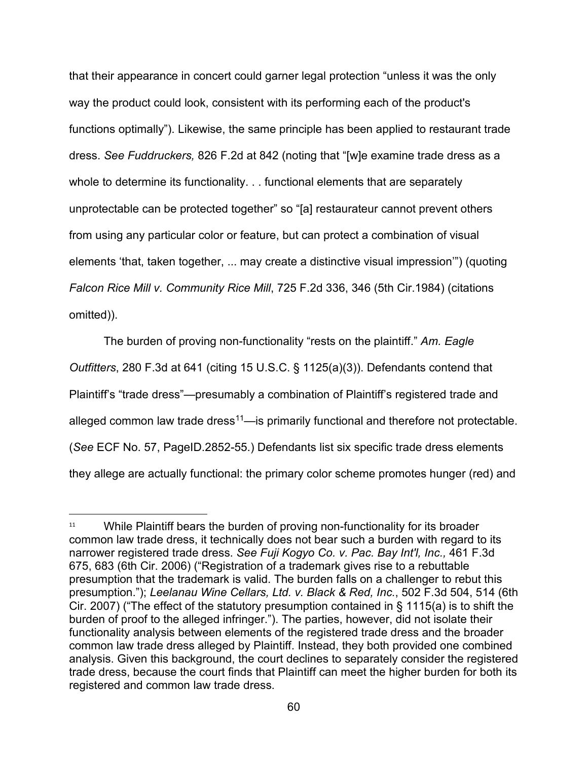that their appearance in concert could garner legal protection "unless it was the only way the product could look, consistent with its performing each of the product's functions optimally"). Likewise, the same principle has been applied to restaurant trade dress. *See Fuddruckers,* 826 F.2d at 842 (noting that "[w]e examine trade dress as a whole to determine its functionality. . . functional elements that are separately unprotectable can be protected together" so "[a] restaurateur cannot prevent others from using any particular color or feature, but can protect a combination of visual elements 'that, taken together, ... may create a distinctive visual impression'") (quoting *Falcon Rice Mill v. Community Rice Mill*, 725 F.2d 336, 346 (5th Cir.1984) (citations omitted)).

The burden of proving non-functionality "rests on the plaintiff." *Am. Eagle Outfitters*, 280 F.3d at 641 (citing 15 U.S.C. § 1125(a)(3)). Defendants contend that Plaintiff's "trade dress"—presumably a combination of Plaintiff's registered trade and alleged common law trade dress<sup>[11](#page-59-0)</sup>—is primarily functional and therefore not protectable. (*See* ECF No. 57, PageID.2852-55.) Defendants list six specific trade dress elements they allege are actually functional: the primary color scheme promotes hunger (red) and

<span id="page-59-0"></span> $11$  While Plaintiff bears the burden of proving non-functionality for its broader common law trade dress, it technically does not bear such a burden with regard to its narrower registered trade dress. *See Fuji Kogyo Co. v. Pac. Bay Int'l, Inc.,* 461 F.3d 675, 683 (6th Cir. 2006) ("Registration of a trademark gives rise to a rebuttable presumption that the trademark is valid. The burden falls on a challenger to rebut this presumption."); *Leelanau Wine Cellars, Ltd. v. Black & Red, Inc.*, 502 F.3d 504, 514 (6th Cir. 2007) ("The effect of the statutory presumption contained in § 1115(a) is to shift the burden of proof to the alleged infringer."). The parties, however, did not isolate their functionality analysis between elements of the registered trade dress and the broader common law trade dress alleged by Plaintiff. Instead, they both provided one combined analysis. Given this background, the court declines to separately consider the registered trade dress, because the court finds that Plaintiff can meet the higher burden for both its registered and common law trade dress.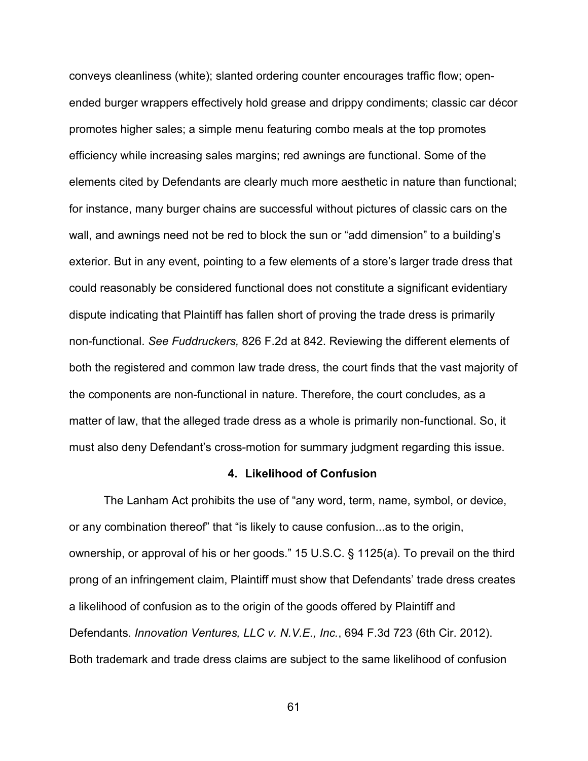conveys cleanliness (white); slanted ordering counter encourages traffic flow; openended burger wrappers effectively hold grease and drippy condiments; classic car décor promotes higher sales; a simple menu featuring combo meals at the top promotes efficiency while increasing sales margins; red awnings are functional. Some of the elements cited by Defendants are clearly much more aesthetic in nature than functional; for instance, many burger chains are successful without pictures of classic cars on the wall, and awnings need not be red to block the sun or "add dimension" to a building's exterior. But in any event, pointing to a few elements of a store's larger trade dress that could reasonably be considered functional does not constitute a significant evidentiary dispute indicating that Plaintiff has fallen short of proving the trade dress is primarily non-functional. *See Fuddruckers,* 826 F.2d at 842. Reviewing the different elements of both the registered and common law trade dress, the court finds that the vast majority of the components are non-functional in nature. Therefore, the court concludes, as a matter of law, that the alleged trade dress as a whole is primarily non-functional. So, it must also deny Defendant's cross-motion for summary judgment regarding this issue.

## **4. Likelihood of Confusion**

The Lanham Act prohibits the use of "any word, term, name, symbol, or device, or any combination thereof" that "is likely to cause confusion...as to the origin, ownership, or approval of his or her goods." 15 U.S.C. § 1125(a). To prevail on the third prong of an infringement claim, Plaintiff must show that Defendants' trade dress creates a likelihood of confusion as to the origin of the goods offered by Plaintiff and Defendants. *Innovation Ventures, LLC v. N.V.E., Inc.*, 694 F.3d 723 (6th Cir. 2012). Both trademark and trade dress claims are subject to the same likelihood of confusion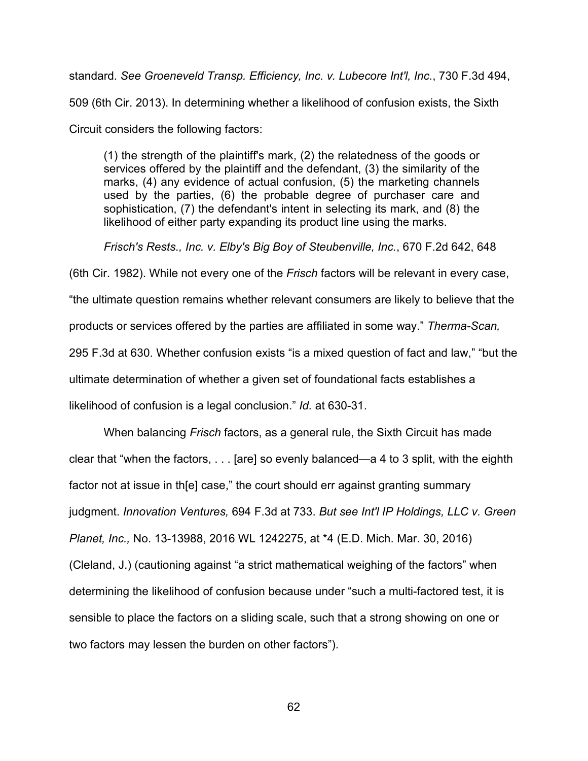standard. *See Groeneveld Transp. Efficiency, Inc. v. Lubecore Int'l, Inc.*, 730 F.3d 494, 509 (6th Cir. 2013). In determining whether a likelihood of confusion exists, the Sixth Circuit considers the following factors:

(1) the strength of the plaintiff's mark, (2) the relatedness of the goods or services offered by the plaintiff and the defendant, (3) the similarity of the marks, (4) any evidence of actual confusion, (5) the marketing channels used by the parties, (6) the probable degree of purchaser care and sophistication, (7) the defendant's intent in selecting its mark, and (8) the likelihood of either party expanding its product line using the marks.

*Frisch's Rests., Inc. v. Elby's Big Boy of Steubenville, Inc.*, 670 F.2d 642, 648

(6th Cir. 1982). While not every one of the *Frisch* factors will be relevant in every case, "the ultimate question remains whether relevant consumers are likely to believe that the products or services offered by the parties are affiliated in some way." *Therma-Scan,* 295 F.3d at 630. Whether confusion exists "is a mixed question of fact and law," "but the ultimate determination of whether a given set of foundational facts establishes a likelihood of confusion is a legal conclusion." *Id.* at 630-31.

When balancing *Frisch* factors, as a general rule, the Sixth Circuit has made clear that "when the factors, . . . [are] so evenly balanced—a 4 to 3 split, with the eighth factor not at issue in th[e] case," the court should err against granting summary judgment. *Innovation Ventures,* 694 F.3d at 733. *But see Int'l IP Holdings, LLC v. Green Planet, Inc.,* No. 13-13988, 2016 WL 1242275, at \*4 (E.D. Mich. Mar. 30, 2016) (Cleland, J.) (cautioning against "a strict mathematical weighing of the factors" when determining the likelihood of confusion because under "such a multi-factored test, it is sensible to place the factors on a sliding scale, such that a strong showing on one or two factors may lessen the burden on other factors").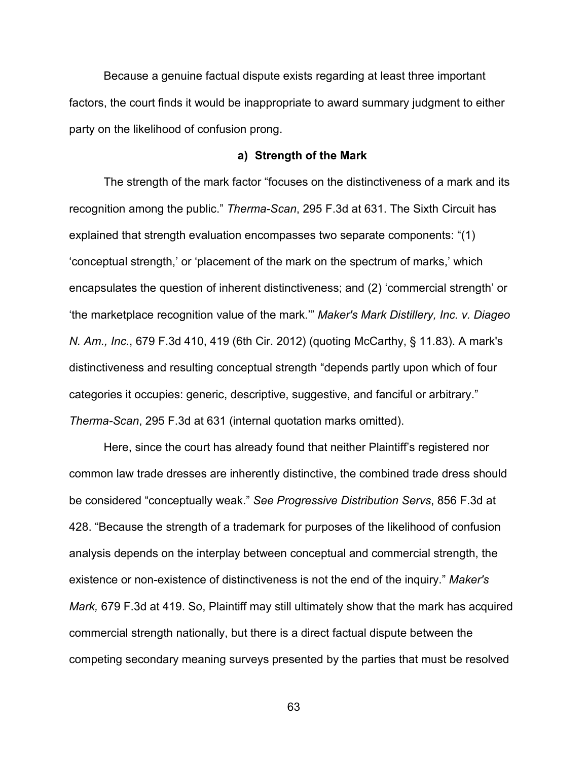Because a genuine factual dispute exists regarding at least three important factors, the court finds it would be inappropriate to award summary judgment to either party on the likelihood of confusion prong.

#### **a) Strength of the Mark**

The strength of the mark factor "focuses on the distinctiveness of a mark and its recognition among the public." *Therma-Scan*, 295 F.3d at 631. The Sixth Circuit has explained that strength evaluation encompasses two separate components: "(1) 'conceptual strength,' or 'placement of the mark on the spectrum of marks,' which encapsulates the question of inherent distinctiveness; and (2) 'commercial strength' or 'the marketplace recognition value of the mark.'" *Maker's Mark Distillery, Inc. v. Diageo N. Am., Inc.*, 679 F.3d 410, 419 (6th Cir. 2012) (quoting McCarthy, § 11.83). A mark's distinctiveness and resulting conceptual strength "depends partly upon which of four categories it occupies: generic, descriptive, suggestive, and fanciful or arbitrary." *Therma-Scan*, 295 F.3d at 631 (internal quotation marks omitted).

Here, since the court has already found that neither Plaintiff's registered nor common law trade dresses are inherently distinctive, the combined trade dress should be considered "conceptually weak." *See Progressive Distribution Servs*, 856 F.3d at 428. "Because the strength of a trademark for purposes of the likelihood of confusion analysis depends on the interplay between conceptual and commercial strength, the existence or non-existence of distinctiveness is not the end of the inquiry." *Maker's Mark,* 679 F.3d at 419. So, Plaintiff may still ultimately show that the mark has acquired commercial strength nationally, but there is a direct factual dispute between the competing secondary meaning surveys presented by the parties that must be resolved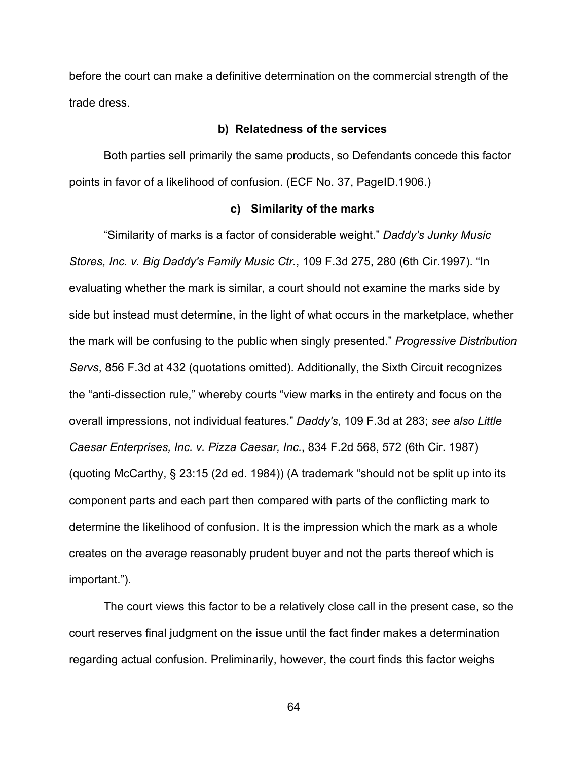before the court can make a definitive determination on the commercial strength of the trade dress.

#### **b) Relatedness of the services**

Both parties sell primarily the same products, so Defendants concede this factor points in favor of a likelihood of confusion. (ECF No. 37, PageID.1906.)

#### **c) Similarity of the marks**

"Similarity of marks is a factor of considerable weight." *Daddy's Junky Music Stores, Inc. v. Big Daddy's Family Music Ctr.*, 109 F.3d 275, 280 (6th Cir.1997). "In evaluating whether the mark is similar, a court should not examine the marks side by side but instead must determine, in the light of what occurs in the marketplace, whether the mark will be confusing to the public when singly presented." *Progressive Distribution Servs*, 856 F.3d at 432 (quotations omitted). Additionally, the Sixth Circuit recognizes the "anti-dissection rule," whereby courts "view marks in the entirety and focus on the overall impressions, not individual features." *Daddy's*, 109 F.3d at 283; *see also Little Caesar Enterprises, Inc. v. Pizza Caesar, Inc.*, 834 F.2d 568, 572 (6th Cir. 1987) (quoting McCarthy, § 23:15 (2d ed. 1984)) (A trademark "should not be split up into its component parts and each part then compared with parts of the conflicting mark to determine the likelihood of confusion. It is the impression which the mark as a whole creates on the average reasonably prudent buyer and not the parts thereof which is important.").

The court views this factor to be a relatively close call in the present case, so the court reserves final judgment on the issue until the fact finder makes a determination regarding actual confusion. Preliminarily, however, the court finds this factor weighs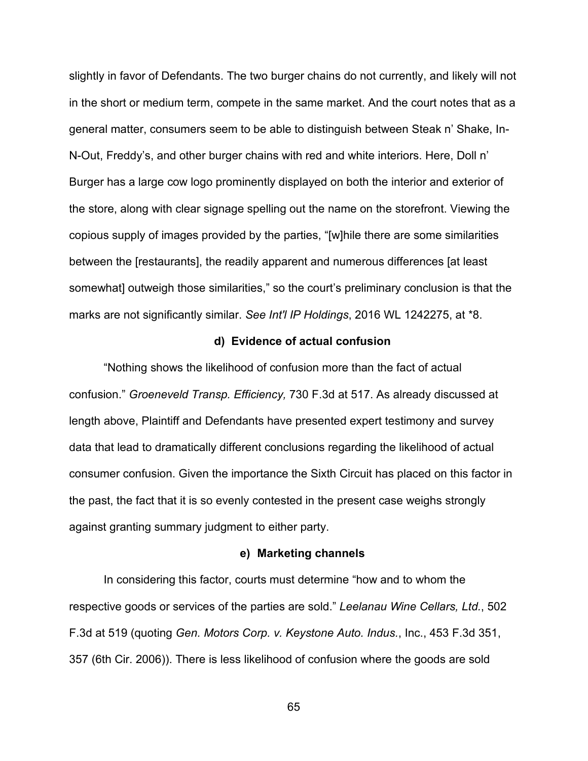slightly in favor of Defendants. The two burger chains do not currently, and likely will not in the short or medium term, compete in the same market. And the court notes that as a general matter, consumers seem to be able to distinguish between Steak n' Shake, In-N-Out, Freddy's, and other burger chains with red and white interiors. Here, Doll n' Burger has a large cow logo prominently displayed on both the interior and exterior of the store, along with clear signage spelling out the name on the storefront. Viewing the copious supply of images provided by the parties, "[w]hile there are some similarities between the [restaurants], the readily apparent and numerous differences [at least somewhat] outweigh those similarities," so the court's preliminary conclusion is that the marks are not significantly similar. *See Int'l IP Holdings*, 2016 WL 1242275, at \*8.

#### **d) Evidence of actual confusion**

"Nothing shows the likelihood of confusion more than the fact of actual confusion." *Groeneveld Transp. Efficiency,* 730 F.3d at 517. As already discussed at length above, Plaintiff and Defendants have presented expert testimony and survey data that lead to dramatically different conclusions regarding the likelihood of actual consumer confusion. Given the importance the Sixth Circuit has placed on this factor in the past, the fact that it is so evenly contested in the present case weighs strongly against granting summary judgment to either party.

#### **e) Marketing channels**

In considering this factor, courts must determine "how and to whom the respective goods or services of the parties are sold." *Leelanau Wine Cellars, Ltd.*, 502 F.3d at 519 (quoting *Gen. Motors Corp. v. Keystone Auto. Indus.*, Inc., 453 F.3d 351, 357 (6th Cir. 2006)). There is less likelihood of confusion where the goods are sold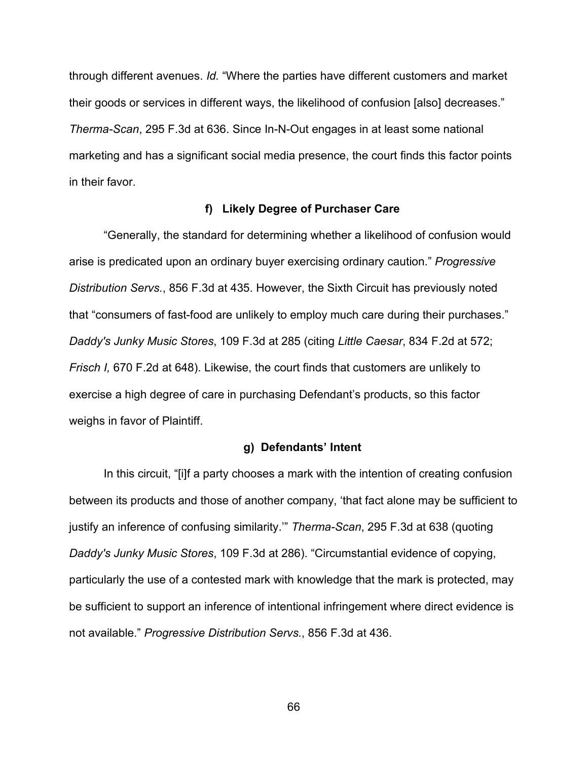through different avenues. *Id.* "Where the parties have different customers and market their goods or services in different ways, the likelihood of confusion [also] decreases." *Therma-Scan*, 295 F.3d at 636. Since In-N-Out engages in at least some national marketing and has a significant social media presence, the court finds this factor points in their favor.

#### **f) Likely Degree of Purchaser Care**

"Generally, the standard for determining whether a likelihood of confusion would arise is predicated upon an ordinary buyer exercising ordinary caution." *Progressive Distribution Servs.*, 856 F.3d at 435. However, the Sixth Circuit has previously noted that "consumers of fast-food are unlikely to employ much care during their purchases." *Daddy's Junky Music Stores*, 109 F.3d at 285 (citing *Little Caesar*, 834 F.2d at 572; *Frisch I,* 670 F.2d at 648). Likewise, the court finds that customers are unlikely to exercise a high degree of care in purchasing Defendant's products, so this factor weighs in favor of Plaintiff.

#### **g) Defendants' Intent**

In this circuit, "[i]f a party chooses a mark with the intention of creating confusion between its products and those of another company, 'that fact alone may be sufficient to justify an inference of confusing similarity.'" *Therma-Scan*, 295 F.3d at 638 (quoting *Daddy's Junky Music Stores*, 109 F.3d at 286). "Circumstantial evidence of copying, particularly the use of a contested mark with knowledge that the mark is protected, may be sufficient to support an inference of intentional infringement where direct evidence is not available." *Progressive Distribution Servs.*, 856 F.3d at 436.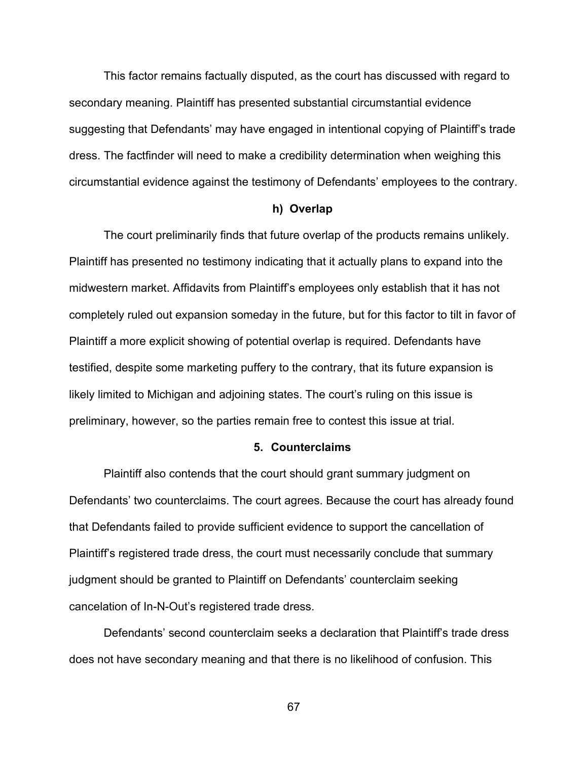This factor remains factually disputed, as the court has discussed with regard to secondary meaning. Plaintiff has presented substantial circumstantial evidence suggesting that Defendants' may have engaged in intentional copying of Plaintiff's trade dress. The factfinder will need to make a credibility determination when weighing this circumstantial evidence against the testimony of Defendants' employees to the contrary.

#### **h) Overlap**

The court preliminarily finds that future overlap of the products remains unlikely. Plaintiff has presented no testimony indicating that it actually plans to expand into the midwestern market. Affidavits from Plaintiff's employees only establish that it has not completely ruled out expansion someday in the future, but for this factor to tilt in favor of Plaintiff a more explicit showing of potential overlap is required. Defendants have testified, despite some marketing puffery to the contrary, that its future expansion is likely limited to Michigan and adjoining states. The court's ruling on this issue is preliminary, however, so the parties remain free to contest this issue at trial.

#### **5. Counterclaims**

Plaintiff also contends that the court should grant summary judgment on Defendants' two counterclaims. The court agrees. Because the court has already found that Defendants failed to provide sufficient evidence to support the cancellation of Plaintiff's registered trade dress, the court must necessarily conclude that summary judgment should be granted to Plaintiff on Defendants' counterclaim seeking cancelation of In-N-Out's registered trade dress.

Defendants' second counterclaim seeks a declaration that Plaintiff's trade dress does not have secondary meaning and that there is no likelihood of confusion. This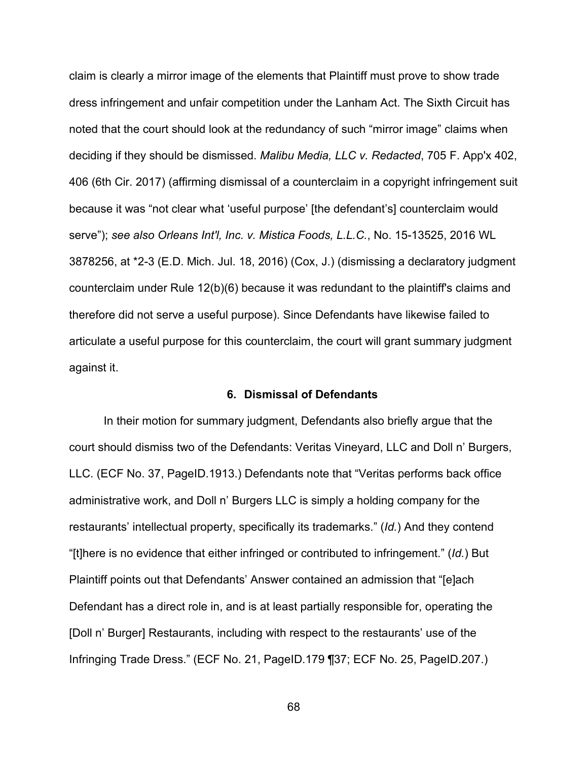claim is clearly a mirror image of the elements that Plaintiff must prove to show trade dress infringement and unfair competition under the Lanham Act. The Sixth Circuit has noted that the court should look at the redundancy of such "mirror image" claims when deciding if they should be dismissed. *Malibu Media, LLC v. Redacted*, 705 F. App'x 402, 406 (6th Cir. 2017) (affirming dismissal of a counterclaim in a copyright infringement suit because it was "not clear what 'useful purpose' [the defendant's] counterclaim would serve"); *see also Orleans Int'l, Inc. v. Mistica Foods, L.L.C.*, No. 15-13525, 2016 WL 3878256, at \*2-3 (E.D. Mich. Jul. 18, 2016) (Cox, J.) (dismissing a declaratory judgment counterclaim under Rule 12(b)(6) because it was redundant to the plaintiff's claims and therefore did not serve a useful purpose). Since Defendants have likewise failed to articulate a useful purpose for this counterclaim, the court will grant summary judgment against it.

#### **6. Dismissal of Defendants**

In their motion for summary judgment, Defendants also briefly argue that the court should dismiss two of the Defendants: Veritas Vineyard, LLC and Doll n' Burgers, LLC. (ECF No. 37, PageID.1913.) Defendants note that "Veritas performs back office administrative work, and Doll n' Burgers LLC is simply a holding company for the restaurants' intellectual property, specifically its trademarks." (*Id.*) And they contend "[t]here is no evidence that either infringed or contributed to infringement." (*Id.*) But Plaintiff points out that Defendants' Answer contained an admission that "[e]ach Defendant has a direct role in, and is at least partially responsible for, operating the [Doll n' Burger] Restaurants, including with respect to the restaurants' use of the Infringing Trade Dress." (ECF No. 21, PageID.179 ¶37; ECF No. 25, PageID.207.)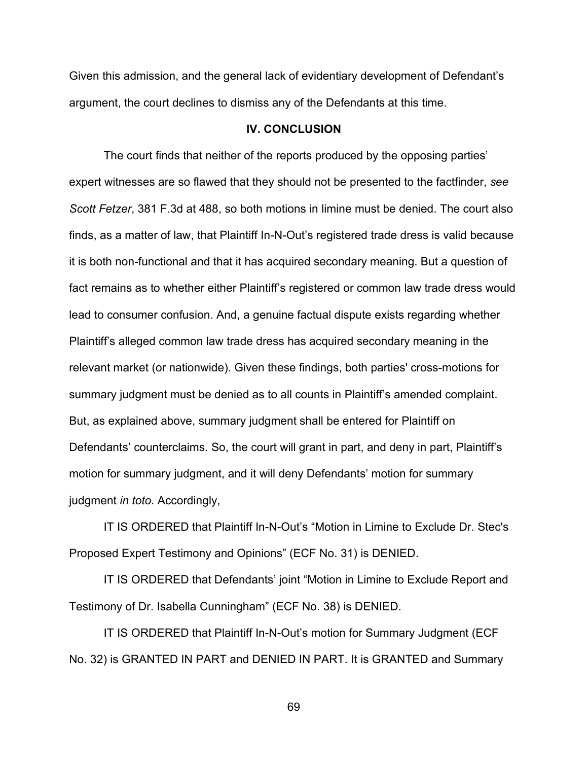Given this admission, and the general lack of evidentiary development of Defendant's argument, the court declines to dismiss any of the Defendants at this time.

## **IV. CONCLUSION**

The court finds that neither of the reports produced by the opposing parties' expert witnesses are so flawed that they should not be presented to the factfinder, *see Scott Fetzer*, 381 F.3d at 488, so both motions in limine must be denied. The court also finds, as a matter of law, that Plaintiff In-N-Out's registered trade dress is valid because it is both non-functional and that it has acquired secondary meaning. But a question of fact remains as to whether either Plaintiff's registered or common law trade dress would lead to consumer confusion. And, a genuine factual dispute exists regarding whether Plaintiff's alleged common law trade dress has acquired secondary meaning in the relevant market (or nationwide). Given these findings, both parties' cross-motions for summary judgment must be denied as to all counts in Plaintiff's amended complaint. But, as explained above, summary judgment shall be entered for Plaintiff on Defendants' counterclaims. So, the court will grant in part, and deny in part, Plaintiff's motion for summary judgment, and it will deny Defendants' motion for summary judgment *in toto*. Accordingly,

IT IS ORDERED that Plaintiff In-N-Out's "Motion in Limine to Exclude Dr. Stec's Proposed Expert Testimony and Opinions" (ECF No. 31) is DENIED.

IT IS ORDERED that Defendants' joint "Motion in Limine to Exclude Report and Testimony of Dr. Isabella Cunningham" (ECF No. 38) is DENIED.

IT IS ORDERED that Plaintiff In-N-Out's motion for Summary Judgment (ECF No. 32) is GRANTED IN PART and DENIED IN PART. It is GRANTED and Summary